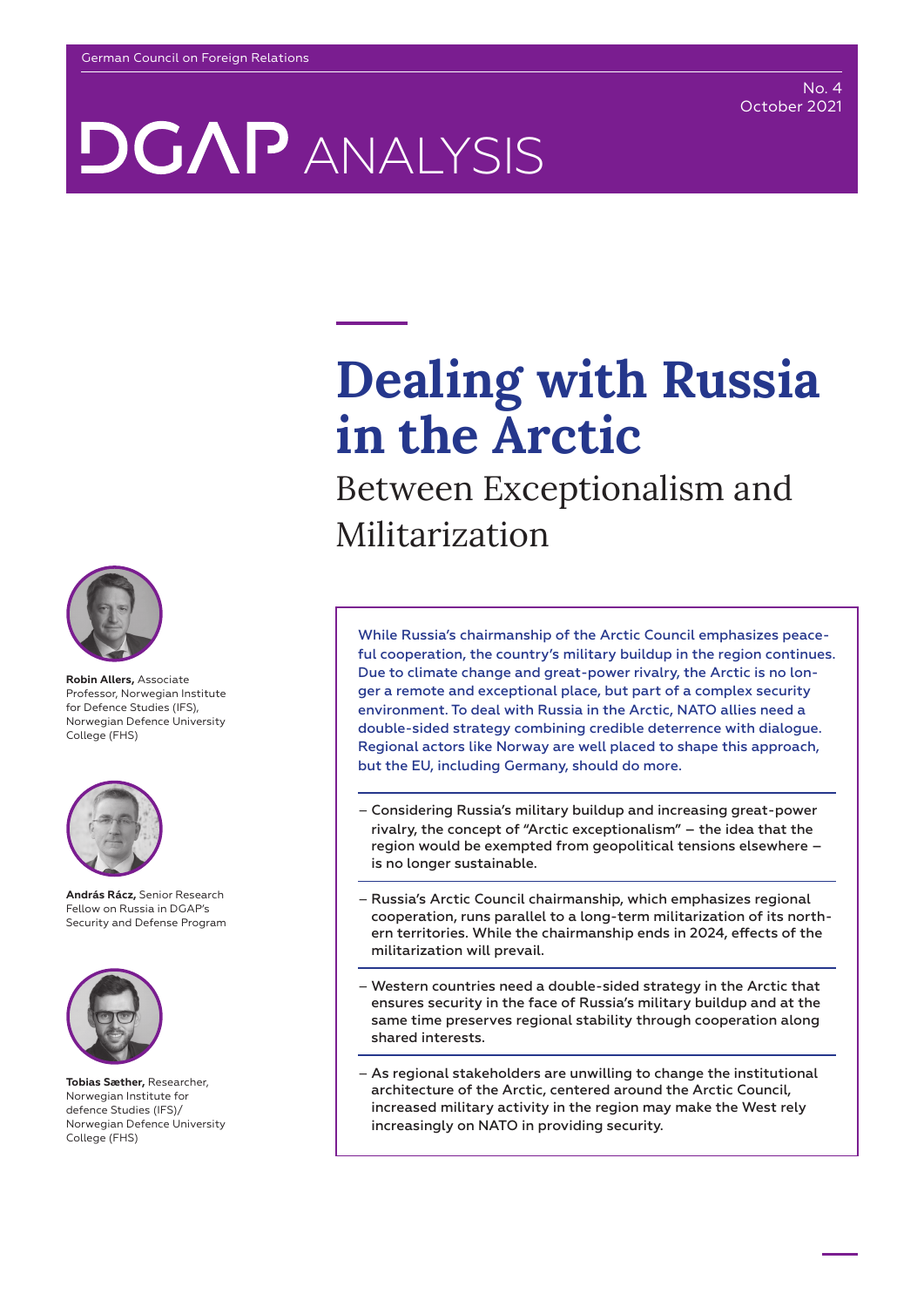

**Robin Allers,** Associate Professor, Norwegian Institute for Defence Studies (IFS), Norwegian Defence University College (FHS)



**András Rácz,** Senior Research Fellow on Russia in DGAP's Security and Defense Program



**Tobias Sæther,** Researcher, Norwegian Institute for defence Studies (IFS)/ Norwegian Defence University College (FHS)

## **Dealing with Russia in the Arctic**

### Between Exceptionalism and Militarization

While Russia's chairmanship of the Arctic Council emphasizes peaceful cooperation, the country's military buildup in the region continues. Due to climate change and great-power rivalry, the Arctic is no longer a remote and exceptional place, but part of a complex security environment. To deal with Russia in the Arctic, NATO allies need a double-sided strategy combining credible deterrence with dialogue. Regional actors like Norway are well placed to shape this approach, but the EU, including Germany, should do more.

- Considering Russia's military buildup and increasing great-power rivalry, the concept of "Arctic exceptionalism" – the idea that the region would be exempted from geopolitical tensions elsewhere – is no longer sustainable.
- Russia's Arctic Council chairmanship, which emphasizes regional cooperation, runs parallel to a long-term militarization of its northern territories. While the chairmanship ends in 2024, effects of the militarization will prevail.
- Western countries need a double-sided strategy in the Arctic that ensures security in the face of Russia's military buildup and at the same time preserves regional stability through cooperation along shared interests.
- As regional stakeholders are unwilling to change the institutional architecture of the Arctic, centered around the Arctic Council, increased military activity in the region may make the West rely increasingly on NATO in providing security.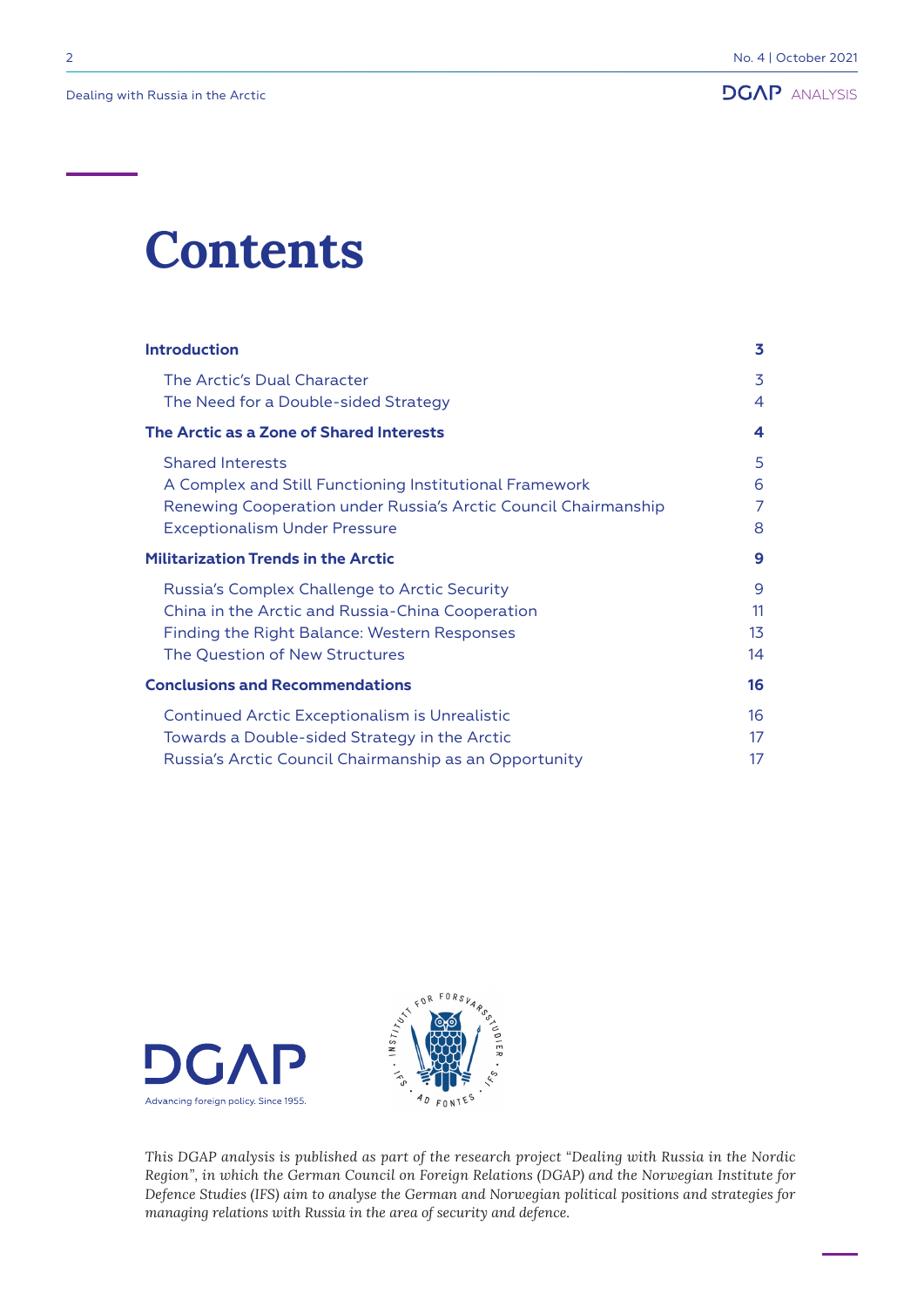## **Contents**

| <b>Introduction</b>                                             | 3  |
|-----------------------------------------------------------------|----|
| The Arctic's Dual Character                                     | 3  |
| The Need for a Double-sided Strategy                            | 4  |
| The Arctic as a Zone of Shared Interests                        | 4  |
| <b>Shared Interests</b>                                         | 5  |
| A Complex and Still Functioning Institutional Framework         | 6  |
| Renewing Cooperation under Russia's Arctic Council Chairmanship | 7  |
| <b>Exceptionalism Under Pressure</b>                            | 8  |
| <b>Militarization Trends in the Arctic</b>                      | 9  |
| Russia's Complex Challenge to Arctic Security                   | 9  |
| China in the Arctic and Russia-China Cooperation                | 11 |
| Finding the Right Balance: Western Responses                    | 13 |
| The Question of New Structures                                  | 14 |
| <b>Conclusions and Recommendations</b>                          | 16 |
| Continued Arctic Exceptionalism is Unrealistic                  | 16 |
| Towards a Double-sided Strategy in the Arctic                   | 17 |
| Russia's Arctic Council Chairmanship as an Opportunity          | 17 |





*This DGAP analysis is published as part of the research project "Dealing with Russia in the Nordic Region", in which the German Council on Foreign Relations (DGAP) and the [Norwegian Institute for](https://www.forsvaret.no/en/research/research-at-the-nduc/norwegian-institute-for-defence-studies)  [Defence Studies \(IFS\)](https://www.forsvaret.no/en/research/research-at-the-nduc/norwegian-institute-for-defence-studies) aim to analyse the German and Norwegian political positions and strategies for managing relations with Russia in the area of security and defence.*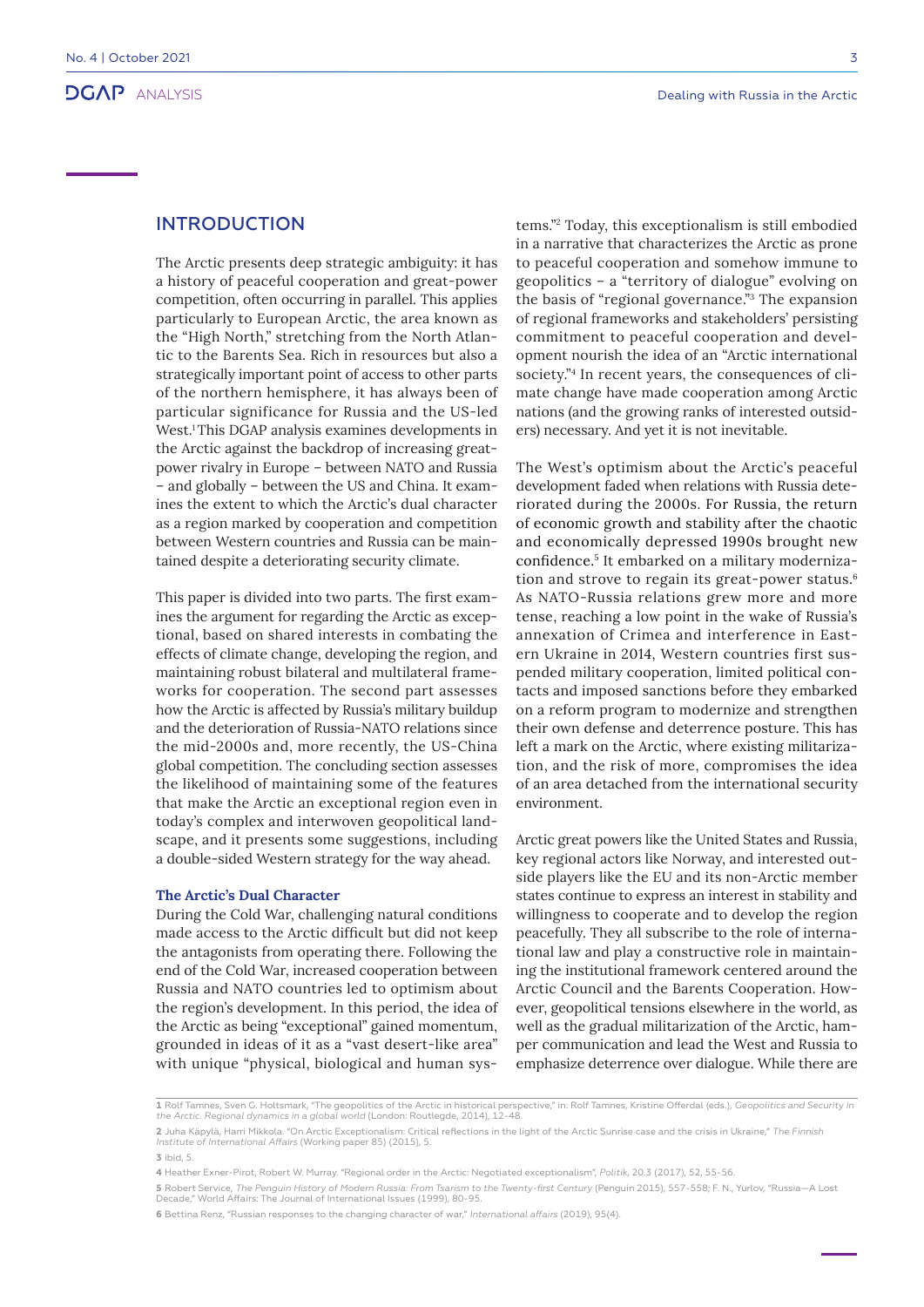#### INTRODUCTION

The Arctic presents deep strategic ambiguity: it has a history of peaceful cooperation and great-power competition, often occurring in parallel. This applies particularly to European Arctic, the area known as the "High North," stretching from the North Atlantic to the Barents Sea. Rich in resources but also a strategically important point of access to other parts of the northern hemisphere, it has always been of particular significance for Russia and the US-led West.<sup>1</sup>This DGAP analysis examines developments in the Arctic against the backdrop of increasing greatpower rivalry in Europe – between NATO and Russia – and globally – between the US and China. It examines the extent to which the Arctic's dual character as a region marked by cooperation and competition between Western countries and Russia can be maintained despite a deteriorating security climate.

This paper is divided into two parts. The first examines the argument for regarding the Arctic as exceptional, based on shared interests in combating the effects of climate change, developing the region, and maintaining robust bilateral and multilateral frameworks for cooperation. The second part assesses how the Arctic is affected by Russia's military buildup and the deterioration of Russia-NATO relations since the mid-2000s and, more recently, the US-China global competition. The concluding section assesses the likelihood of maintaining some of the features that make the Arctic an exceptional region even in today's complex and interwoven geopolitical landscape, and it presents some suggestions, including a double-sided Western strategy for the way ahead.

#### **The Arctic's Dual Character**

During the Cold War, challenging natural conditions made access to the Arctic difficult but did not keep the antagonists from operating there. Following the end of the Cold War, increased cooperation between Russia and NATO countries led to optimism about the region's development. In this period, the idea of the Arctic as being "exceptional" gained momentum, grounded in ideas of it as a "vast desert-like area" with unique "physical, biological and human sys-

tems."2 Today, this exceptionalism is still embodied in a narrative that characterizes the Arctic as prone to peaceful cooperation and somehow immune to geopolitics – a "territory of dialogue" evolving on the basis of "regional governance."3 The expansion of regional frameworks and stakeholders' persisting commitment to peaceful cooperation and development nourish the idea of an "Arctic international society."4 In recent years, the consequences of climate change have made cooperation among Arctic nations (and the growing ranks of interested outsiders) necessary. And yet it is not inevitable.

The West's optimism about the Arctic's peaceful development faded when relations with Russia deteriorated during the 2000s. For Russia, the return of economic growth and stability after the chaotic and economically depressed 1990s brought new confidence.<sup>5</sup> It embarked on a military modernization and strove to regain its great-power status.<sup>6</sup> As NATO-Russia relations grew more and more tense, reaching a low point in the wake of Russia's annexation of Crimea and interference in Eastern Ukraine in 2014, Western countries first suspended military cooperation, limited political contacts and imposed sanctions before they embarked on a reform program to modernize and strengthen their own defense and deterrence posture. This has left a mark on the Arctic, where existing militarization, and the risk of more, compromises the idea of an area detached from the international security environment.

Arctic great powers like the United States and Russia, key regional actors like Norway, and interested outside players like the EU and its non-Arctic member states continue to express an interest in stability and willingness to cooperate and to develop the region peacefully. They all subscribe to the role of international law and play a constructive role in maintaining the institutional framework centered around the Arctic Council and the Barents Cooperation. However, geopolitical tensions elsewhere in the world, as well as the gradual militarization of the Arctic, hamper communication and lead the West and Russia to emphasize deterrence over dialogue. While there are

**3** ibid, 5.

**<sup>1</sup>** Rolf Tamnes, Sven G. Holtsmark, "The geopolitics of the Arctic in historical perspective," in: Rolf Tamnes, Kristine Offerdal (eds.), Geopolitics and Security in<br>*the Arctic. Regional dynamics in a global world* (Londo

**<sup>2</sup>** Juha Käpylä, Harri Mikkola. "On Arctic Exceptionalism: Critical reflections in the light of the Arctic Sunrise case and the crisis in Ukraine," *The Finnish Institute of International Affairs* (Working paper 85) (2015), 5.

**<sup>4</sup>** Heather Exner-Pirot, Robert W. Murray. "Regional order in the Arctic: Negotiated exceptionalism", *Politik*, 20.3 (2017), 52, 55-56.

**<sup>5</sup>** Robert Service, The Penguin History of Modern Russia: From Tsarism to the Twenty-first Century (Penguin 2015), 557-558; F. N., Yurlov, "Russia—A Lost<br>Decade," World Affairs: The Journal of International Issues (1999),

**<sup>6</sup>** Bettina Renz, "Russian responses to the changing character of war," *International affairs* (2019), 95(4).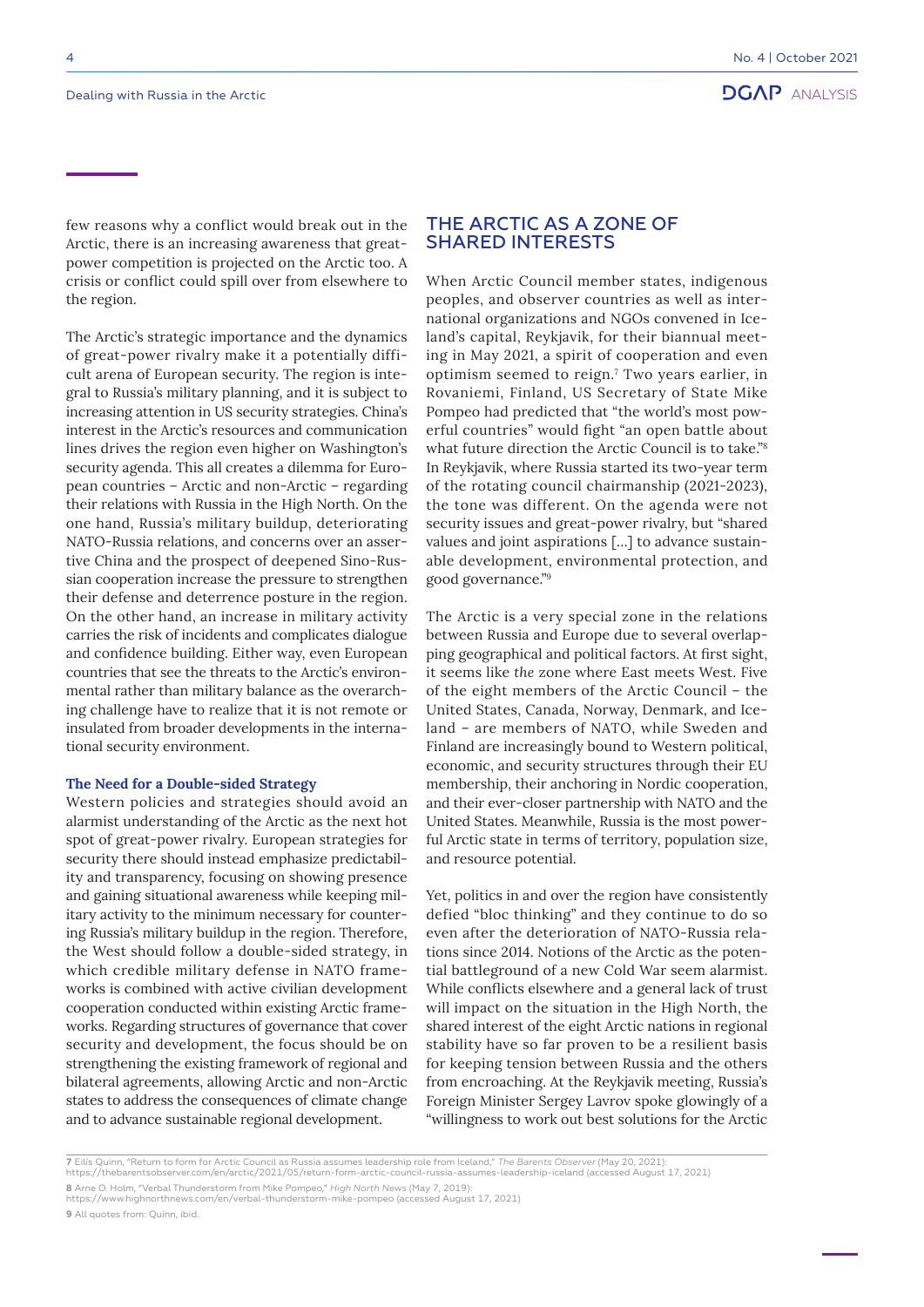few reasons why a conflict would break out in the Arctic, there is an increasing awareness that greatpower competition is projected on the Arctic too. A crisis or conflict could spill over from elsewhere to the region.

The Arctic's strategic importance and the dynamics of great-power rivalry make it a potentially difficult arena of European security. The region is integral to Russia's military planning, and it is subject to increasing attention in US security strategies. China's interest in the Arctic's resources and communication lines drives the region even higher on Washington's security agenda. This all creates a dilemma for European countries – Arctic and non-Arctic – regarding their relations with Russia in the High North. On the one hand, Russia's military buildup, deteriorating NATO-Russia relations, and concerns over an assertive China and the prospect of deepened Sino-Russian cooperation increase the pressure to strengthen their defense and deterrence posture in the region. On the other hand, an increase in military activity carries the risk of incidents and complicates dialogue and confidence building. Either way, even European countries that see the threats to the Arctic's environmental rather than military balance as the overarching challenge have to realize that it is not remote or insulated from broader developments in the international security environment.

#### **The Need for a Double-sided Strategy**

Western policies and strategies should avoid an alarmist understanding of the Arctic as the next hot spot of great-power rivalry. European strategies for security there should instead emphasize predictability and transparency, focusing on showing presence and gaining situational awareness while keeping military activity to the minimum necessary for countering Russia's military buildup in the region. Therefore, the West should follow a double-sided strategy, in which credible military defense in NATO frameworks is combined with active civilian development cooperation conducted within existing Arctic frameworks. Regarding structures of governance that cover security and development, the focus should be on strengthening the existing framework of regional and bilateral agreements, allowing Arctic and non-Arctic states to address the consequences of climate change and to advance sustainable regional development.

#### THE ARCTIC AS A ZONE OF SHARED INTERESTS

When Arctic Council member states, indigenous peoples, and observer countries as well as international organizations and NGOs convened in Iceland's capital, Reykjavik, for their biannual meeting in May 2021, a spirit of cooperation and even optimism seemed to reign.7 Two years earlier, in Rovaniemi, Finland, US Secretary of State Mike Pompeo had predicted that "the world's most powerful countries" would fight "an open battle about what future direction the Arctic Council is to take."8 In Reykjavik, where Russia started its two-year term of the rotating council chairmanship (2021-2023), the tone was different. On the agenda were not security issues and great-power rivalry, but "shared values and joint aspirations […] to advance sustainable development, environmental protection, and good governance."<sup>9</sup>

The Arctic is a very special zone in the relations between Russia and Europe due to several overlapping geographical and political factors. At first sight, it seems like *the* zone where East meets West. Five of the eight members of the Arctic Council – the United States, Canada, Norway, Denmark, and Iceland – are members of NATO, while Sweden and Finland are increasingly bound to Western political, economic, and security structures through their EU membership, their anchoring in Nordic cooperation, and their ever-closer partnership with NATO and the United States. Meanwhile, Russia is the most powerful Arctic state in terms of territory, population size, and resource potential.

Yet, politics in and over the region have consistently defied "bloc thinking" and they continue to do so even after the deterioration of NATO-Russia relations since 2014. Notions of the Arctic as the potential battleground of a new Cold War seem alarmist. While conflicts elsewhere and a general lack of trust will impact on the situation in the High North, the shared interest of the eight Arctic nations in regional stability have so far proven to be a resilient basis for keeping tension between Russia and the others from encroaching. At the Reykjavik meeting, Russia's Foreign Minister Sergey Lavrov spoke glowingly of a "willingness to work out best solutions for the Arctic

**<sup>7</sup>** Eilís Quinn, "Return to form for Arctic Council as Russia assumes leadership role from Iceland," *The Barents Observer* (May 20, 2021):

<https://thebarentsobserver.com/en/arctic/2021/05/return-form-arctic-council-russia-assumes-leadership-iceland> (accessed August 17, 2021)

**<sup>8</sup>** Arne O. Holm, "Verbal Thunderstorm from Mike Pompeo," *High North News* (May 7, 2019): <https://www.highnorthnews.com/en/verbal-thunderstorm-mike-pompeo> (accessed August 17, 2021)

**<sup>9</sup>** All quotes from: Quínn, ibid.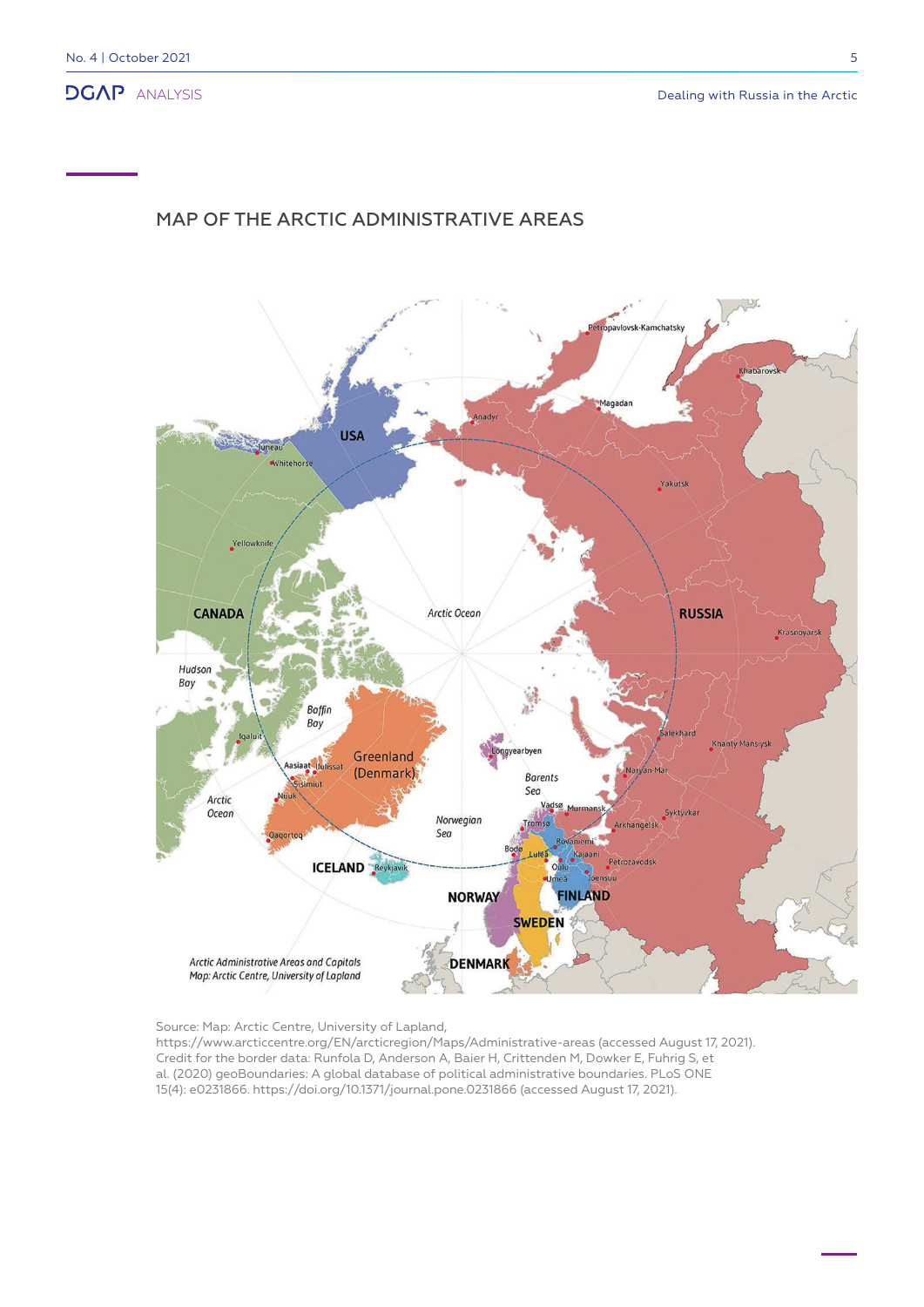Dealing with Russia in the Arctic

#### MAP OF THE ARCTIC ADMINISTRATIVE AREAS



Source: Map: Arctic Centre, University of Lapland,

<https://www.arcticcentre.org/EN/arcticregion/Maps/Administrative-areas>(accessed August 17, 2021). Credit for the border data: Runfola D, Anderson A, Baier H, Crittenden M, Dowker E, Fuhrig S, et al. (2020) geoBoundaries: A global database of political administrative boundaries. PLoS ONE 15(4): e0231866.<https://doi.org/10.1371/journal.pone.0231866> (accessed August 17, 2021).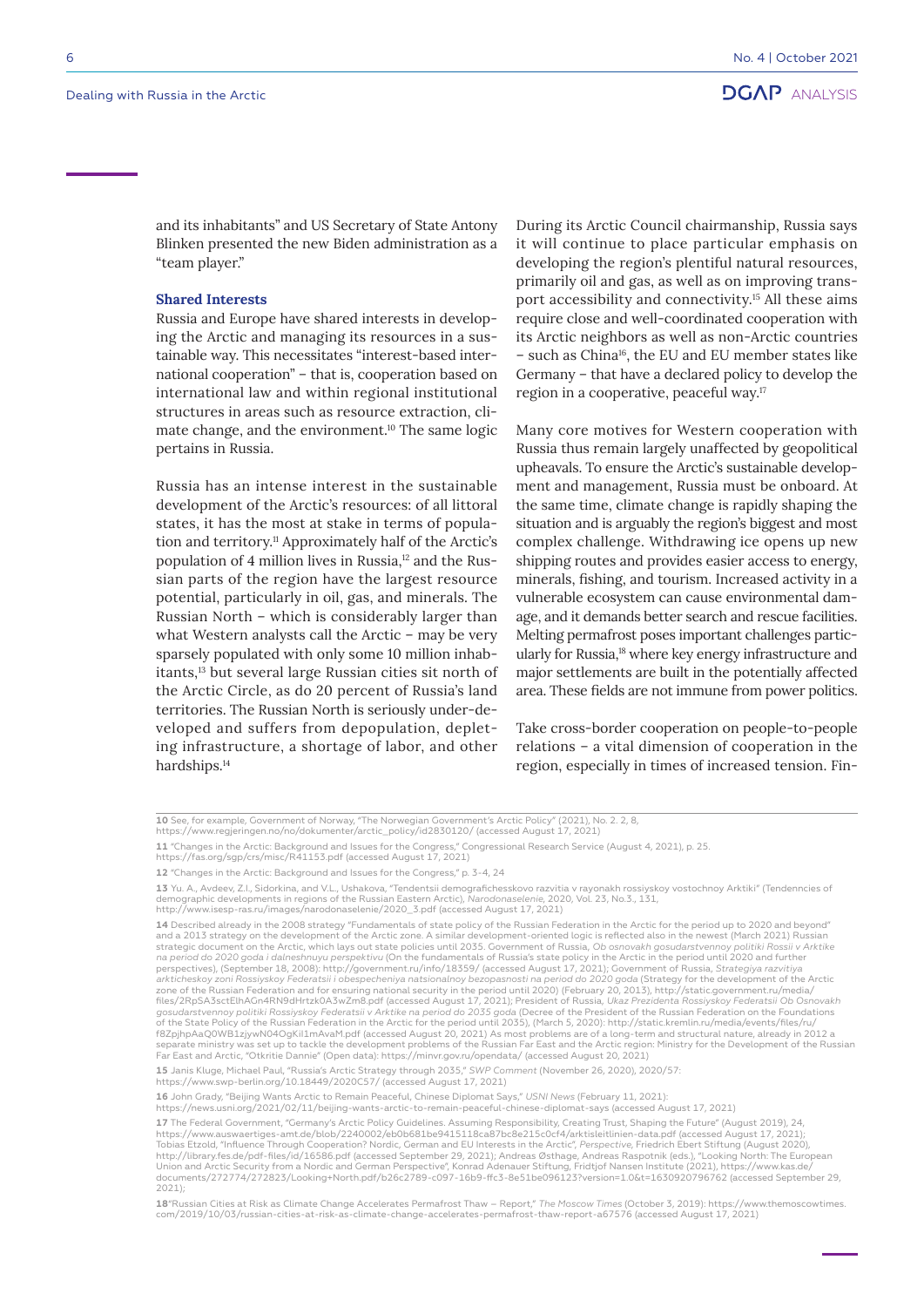and its inhabitants" and US Secretary of State Antony Blinken presented the new Biden administration as a "team player."

#### **Shared Interests**

Russia and Europe have shared interests in developing the Arctic and managing its resources in a sustainable way. This necessitates "interest-based international cooperation" – that is, cooperation based on international law and within regional institutional structures in areas such as resource extraction, climate change, and the environment.<sup>10</sup> The same logic pertains in Russia.

Russia has an intense interest in the sustainable development of the Arctic's resources: of all littoral states, it has the most at stake in terms of population and territory.11 Approximately half of the Arctic's population of 4 million lives in Russia, $12$  and the Russian parts of the region have the largest resource potential, particularly in oil, gas, and minerals. The Russian North – which is considerably larger than what Western analysts call the Arctic – may be very sparsely populated with only some 10 million inhabitants,13 but several large Russian cities sit north of the Arctic Circle, as do 20 percent of Russia's land territories. The Russian North is seriously under-developed and suffers from depopulation, depleting infrastructure, a shortage of labor, and other hardships.<sup>14</sup>

During its Arctic Council chairmanship, Russia says it will continue to place particular emphasis on developing the region's plentiful natural resources, primarily oil and gas, as well as on improving transport accessibility and connectivity.15 All these aims require close and well-coordinated cooperation with its Arctic neighbors as well as non-Arctic countries – such as China16, the EU and EU member states like Germany – that have a declared policy to develop the region in a cooperative, peaceful way.17

Many core motives for Western cooperation with Russia thus remain largely unaffected by geopolitical upheavals. To ensure the Arctic's sustainable development and management, Russia must be onboard. At the same time, climate change is rapidly shaping the situation and is arguably the region's biggest and most complex challenge. Withdrawing ice opens up new shipping routes and provides easier access to energy, minerals, fishing, and tourism. Increased activity in a vulnerable ecosystem can cause environmental damage, and it demands better search and rescue facilities. Melting permafrost poses important challenges particularly for Russia,<sup>18</sup> where key energy infrastructure and major settlements are built in the potentially affected area. These fields are not immune from power politics.

Take cross-border cooperation on people-to-people relations – a vital dimension of cooperation in the region, especially in times of increased tension. Fin-

**<sup>10</sup>** See, for example, Government of Norway, "The Norwegian Government's Arctic Policy" (2021), No. 2. 2, 8, [https://www.regjeringen.no/no/dokumenter/arctic\\_policy/id2830120/](https://www.regjeringen.no/no/dokumenter/arctic_policy/id2830120/) (accessed August 17, 2021)

**<sup>11</sup>** "Changes in the Arctic: Background and Issues for the Congress," Congressional Research Service (August 4, 2021), p. 25.

<https://fas.org/sgp/crs/misc/R41153.pdf> (accessed August 17, 2021)

**<sup>12</sup>** "Changes in the Arctic: Background and Issues for the Congress," p. 3-4, 24

**<sup>13</sup>** Yu. A., Avdeev, Z.I., Sidorkina, and V.L., Ushakova, "Tendentsii demografichesskovo razvitia v rayonakh rossiyskoy vostochnoy Arktiki" (Tendenncies of<br>demographic developments in regions of the Russian Eastern Arctic) [http://www.isesp-ras.ru/images/narodonaselenie/2020\\_3.pdf](http://www.isesp-ras.ru/images/narodonaselenie/2020_3.pdf) (accessed August 17, 2021)

**<sup>14</sup>** Described already in the 2008 strategy "Fundamentals of state policy of the Russian Federation in the Arctic for the period up to 2020 and beyond"<br>and a 2013 strategy on the development of the Arctic zone. A similar d na period do 2020 goda i dalneshnuyu perspektivu (On the fundamentals of Russia's state policy in the Arctic in the period until 2020 and further<br>perspectives), (September 18, 2008):<http://government.ru/info/18359/> (acces zone of the Russian Federation and for ensuring national security in the period until 2020) (February 20, 2013), [http://static.government.ru/media/](http://static.government.ru/media/files/2RpSA3sctElhAGn4RN9dHrtzk0A3wZm8.pdf)<br>[files/2RpSA3sctElhAGn4RN9dHrtzk0A3wZm8.pdf](http://static.government.ru/media/files/2RpSA3sctElhAGn4RN9dHrtzk0A3wZm8.pdf) (accessed August 17, 2021); Pre of the State Policy of the Russian Federation in the Arctic for the period until 2035), (March 5, 2020): [http://static.kremlin.ru/media/events/files/ru/](http://static.kremlin.ru/media/events/files/ru/f8ZpjhpAaQ0WB1zjywN04OgKiI1mAvaM.pdf)<br>f8ZpjhpAaQ0WB1zjywN04OgKil1mAvaM.pdf (accessed August 20, 2021) As mo separate ministry was set up to tackle the development problems of the Russian Far East and the Arctic region: Ministry for the Development of the Russian Far East and Arctic, "Otkritie Dannie" (Open data): <https://minvr.gov.ru/opendata/>(accessed August 20, 2021)

**<sup>15</sup>** Janis Kluge, Michael Paul, "Russia's Arctic Strategy through 2035," *SWP Comment* (November 26, 2020), 2020/57: <https://www.swp-berlin.org/10.18449/2020C57/>(accessed August 17, 2021)

**<sup>16</sup>** John Grady, "Beijing Wants Arctic to Remain Peaceful, Chinese Diplomat Says," *USNI News* (February 11, 2021):

<https://news.usni.org/2021/02/11/beijing-wants-arctic-to-remain-peaceful-chinese-diplomat-says>(accessed August 17, 2021)

<sup>17</sup> The Federal Government, "Germany's Arctic Policy Guidelines. Assuming Responsibility, Creating Trust, Shaping the Future" (August 2019), 24,<br>https://www.auswaertiges-amt.de/blob/2240002/eb0b681be9415118ca87bc8e215c0cf4/ Tobias Etzold, "Influence Through Cooperation? Nordic, German and EU Interests in the Arctic", Perspective, Friedrich Ebert Stiftung (August 2020),<br><http://library.fes.de/pdf-files/id/16586.pdf> (accessed September 29, 2021) [documents/272774/272823/Looking+North.pdf/b26c2789-c097-16b9-ffc3-8e51be096123?version=1.0&t=1630920796762](https://www.kas.de/documents/272774/272823/Looking+North.pdf/b26c2789-c097-16b9-ffc3-8e51be096123?version=1.0&t=1630920796762) (accessed September 29, 2021);

**<sup>18</sup>**"Russian Cities at Risk as Climate Change Accelerates Permafrost Thaw – Report," *The Moscow Times* (October 3, 2019): [https://www.themoscowtimes.](https://www.themoscowtimes.com/2019/10/03/russian-cities-at-risk-as-climate-change-accelerates-permafrost-thaw-report-a67576) [com/2019/10/03/russian-cities-at-risk-as-climate-change-accelerates-permafrost-thaw-report-a67576](https://www.themoscowtimes.com/2019/10/03/russian-cities-at-risk-as-climate-change-accelerates-permafrost-thaw-report-a67576) (accessed August 17, 2021)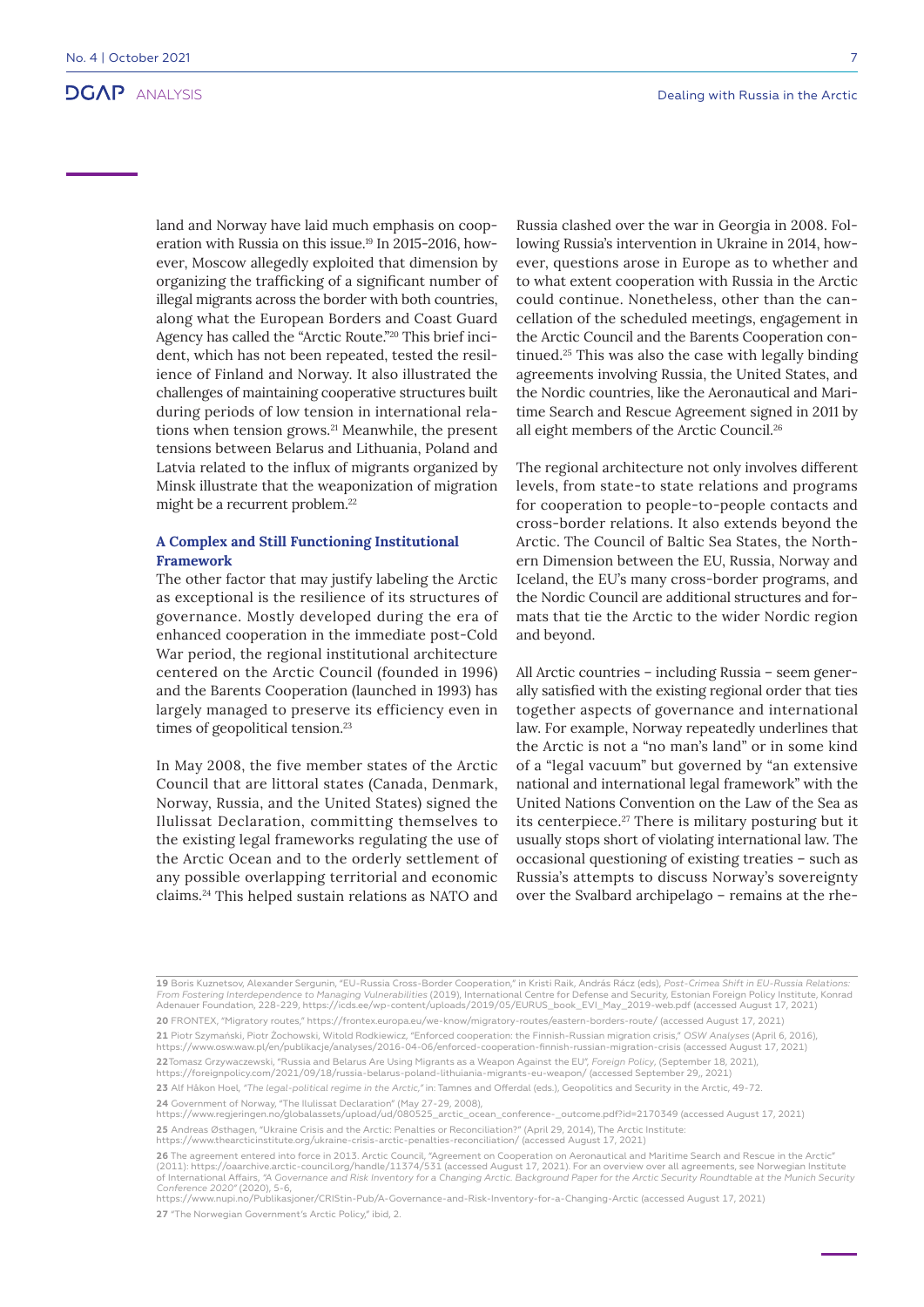land and Norway have laid much emphasis on cooperation with Russia on this issue.19 In 2015-2016, however, Moscow allegedly exploited that dimension by organizing the trafficking of a significant number of illegal migrants across the border with both countries, along what the European Borders and Coast Guard Agency has called the "Arctic Route."20 This brief incident, which has not been repeated, tested the resilience of Finland and Norway. It also illustrated the challenges of maintaining cooperative structures built during periods of low tension in international relations when tension grows.21 Meanwhile, the present tensions between Belarus and Lithuania, Poland and Latvia related to the influx of migrants organized by Minsk illustrate that the weaponization of migration might be a recurrent problem.<sup>22</sup>

#### **A Complex and Still Functioning Institutional Framework**

The other factor that may justify labeling the Arctic as exceptional is the resilience of its structures of governance. Mostly developed during the era of enhanced cooperation in the immediate post-Cold War period, the regional institutional architecture centered on the Arctic Council (founded in 1996) and the Barents Cooperation (launched in 1993) has largely managed to preserve its efficiency even in times of geopolitical tension.<sup>23</sup>

In May 2008, the five member states of the Arctic Council that are littoral states (Canada, Denmark, Norway, Russia, and the United States) signed the Ilulissat Declaration, committing themselves to the existing legal frameworks regulating the use of the Arctic Ocean and to the orderly settlement of any possible overlapping territorial and economic claims.24 This helped sustain relations as NATO and

Russia clashed over the war in Georgia in 2008. Following Russia's intervention in Ukraine in 2014, however, questions arose in Europe as to whether and to what extent cooperation with Russia in the Arctic could continue. Nonetheless, other than the cancellation of the scheduled meetings, engagement in the Arctic Council and the Barents Cooperation continued.25 This was also the case with legally binding agreements involving Russia, the United States, and the Nordic countries, like the Aeronautical and Maritime Search and Rescue Agreement signed in 2011 by all eight members of the Arctic Council.26

The regional architecture not only involves different levels, from state-to state relations and programs for cooperation to people-to-people contacts and cross-border relations. It also extends beyond the Arctic. The Council of Baltic Sea States, the Northern Dimension between the EU, Russia, Norway and Iceland, the EU's many cross-border programs, and the Nordic Council are additional structures and formats that tie the Arctic to the wider Nordic region and beyond.

All Arctic countries – including Russia – seem generally satisfied with the existing regional order that ties together aspects of governance and international law. For example, Norway repeatedly underlines that the Arctic is not a "no man's land" or in some kind of a "legal vacuum" but governed by "an extensive national and international legal framework" with the United Nations Convention on the Law of the Sea as its centerpiece.27 There is military posturing but it usually stops short of violating international law. The occasional questioning of existing treaties – such as Russia's attempts to discuss Norway's sovereignty over the Svalbard archipelago – remains at the rhe-

<https://foreignpolicy.com/2021/09/18/russia-belarus-poland-lithuiania-migrants-eu-weapon/> (accessed September 29,, 2021)

<https://www.thearcticinstitute.org/ukraine-crisis-arctic-penalties-reconciliation/>(accessed August 17, 2021)

**<sup>19</sup>** Boris Kuznetsov, Alexander Sergunin, "EU-Russia Cross-Border Cooperation," in Kristi Raik, András Rácz (eds), *Post-Crimea Shift in EU-Russia Relations:*<br>*From Fostering Interdependence to Managing Vulnerabilities (20* Adenauer Foundation, 228-229, [https://icds.ee/wp-content/uploads/2019/05/EURUS\\_book\\_EVI\\_May\\_2019-web.pdf](https://icds.ee/wp-content/uploads/2019/05/EURUS_book_EVI_May_2019-web.pdf) (accessed August 17, 2021) **20** FRONTEX, "Migratory routes," <https://frontex.europa.eu/we-know/migratory-routes/eastern-borders-route/>(accessed August 17, 2021)

**<sup>21</sup>** Piotr Szymański, Piotr Żochowski, Witold Rodkiewicz, "Enforced cooperation: the Finnish-Russian migration crisis," *OSW Analyses* (April 6, 2016),

<https://www.osw.waw.pl/en/publikacje/analyses/2016-04-06/enforced-cooperation-finnish-russian-migration-crisis>(accessed August 17, 2021) **22**Tomasz Grzywaczewski, "Russia and Belarus Are Using Migrants as a Weapon Against the EU", *Foreign Policy*, (September 18, 2021),

**<sup>23</sup>** Alf Håkon Hoel, *"The legal-political regime in the Arctic,"* in: Tamnes and Offerdal (eds.), Geopolitics and Security in the Arctic, 49-72. **24** Government of Norway, "The Ilulissat Declaration" (May 27-29, 2008),

[https://www.regjeringen.no/globalassets/upload/ud/080525\\_arctic\\_ocean\\_conference-\\_outcome.pdf?id=2170349](https://www.regjeringen.no/globalassets/upload/ud/080525_arctic_ocean_conference-_outcome.pdf?id=2170349) (accessed August 17, 2021) **25** Andreas Østhagen, "Ukraine Crisis and the Arctic: Penalties or Reconciliation?" (April 29, 2014), The Arctic Institute:

**<sup>26</sup>** The agreement entered into force in 2013. Arctic Council, "Agreement on Cooperation on Aeronautical and Maritime Search and Rescue in the Arctic"<br>(2011):<https://oaarchive.arctic-council.org/handle/11374/531>(accessed of International Affairs, *"A Governance and Risk Inventory for a Changing Arctic. Background Paper for the Arctic Security Roundtable at the Munich Security Conference 2020"* (2020), 5-6,

<https://www.nupi.no/Publikasjoner/CRIStin-Pub/A-Governance-and-Risk-Inventory-for-a-Changing-Arctic>(accessed August 17, 2021) **27** "The Norwegian Government's Arctic Policy," ibid, 2.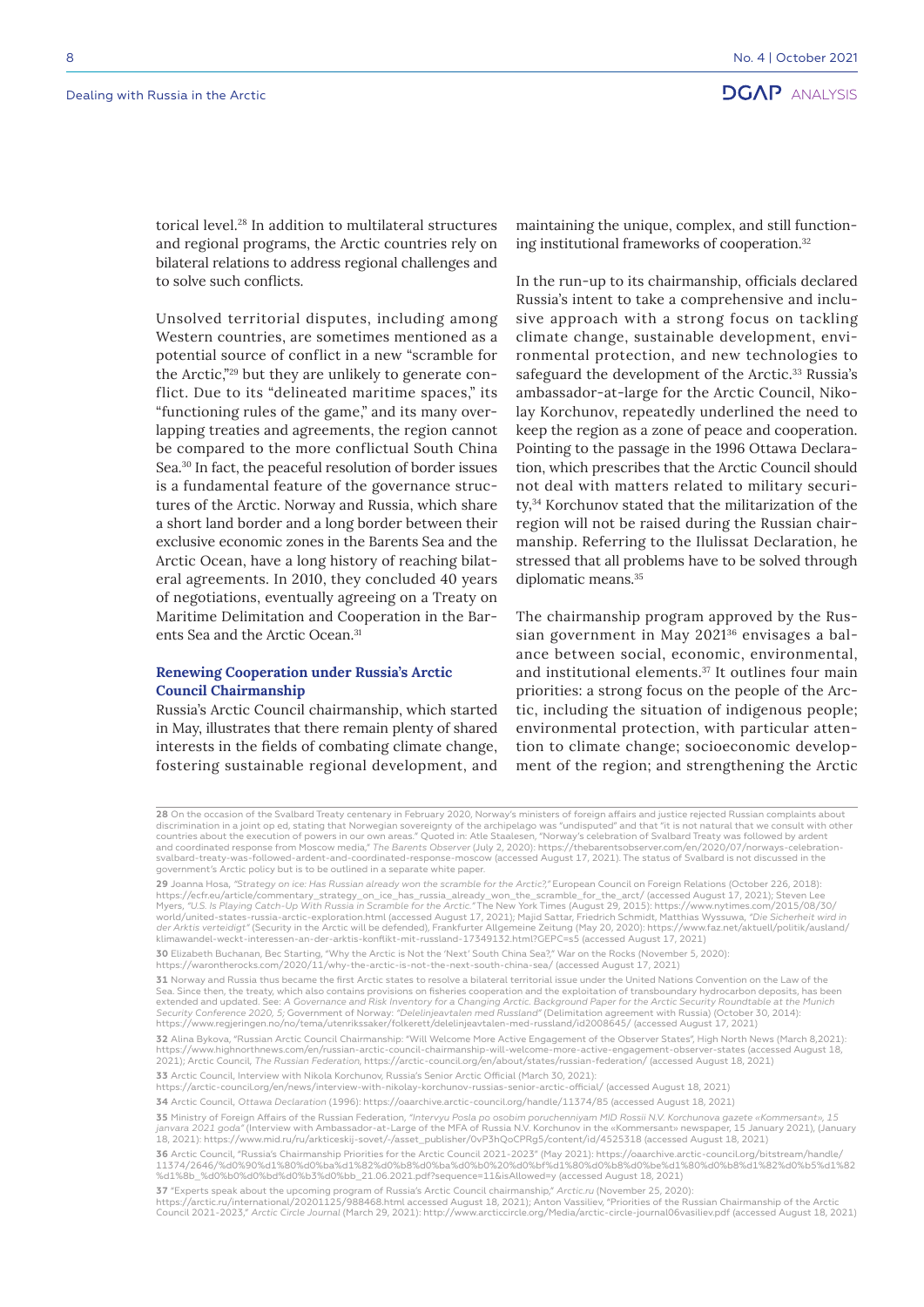torical level.28 In addition to multilateral structures and regional programs, the Arctic countries rely on bilateral relations to address regional challenges and to solve such conflicts.

Unsolved territorial disputes, including among Western countries, are sometimes mentioned as a potential source of conflict in a new "scramble for the Arctic,"29 but they are unlikely to generate conflict. Due to its "delineated maritime spaces," its "functioning rules of the game," and its many overlapping treaties and agreements, the region cannot be compared to the more conflictual South China Sea.30 In fact, the peaceful resolution of border issues is a fundamental feature of the governance structures of the Arctic. Norway and Russia, which share a short land border and a long border between their exclusive economic zones in the Barents Sea and the Arctic Ocean, have a long history of reaching bilateral agreements. In 2010, they concluded 40 years of negotiations, eventually agreeing on a Treaty on Maritime Delimitation and Cooperation in the Barents Sea and the Arctic Ocean.31

#### **Renewing Cooperation under Russia's Arctic Council Chairmanship**

Russia's Arctic Council chairmanship, which started in May, illustrates that there remain plenty of shared interests in the fields of combating climate change, fostering sustainable regional development, and maintaining the unique, complex, and still functioning institutional frameworks of cooperation.32

In the run-up to its chairmanship, officials declared Russia's intent to take a comprehensive and inclusive approach with a strong focus on tackling climate change, sustainable development, environmental protection, and new technologies to safeguard the development of the Arctic.<sup>33</sup> Russia's ambassador-at-large for the Arctic Council, Nikolay Korchunov, repeatedly underlined the need to keep the region as a zone of peace and cooperation. Pointing to the passage in the 1996 Ottawa Declaration, which prescribes that the Arctic Council should not deal with matters related to military security,34 Korchunov stated that the militarization of the region will not be raised during the Russian chairmanship. Referring to the Ilulissat Declaration, he stressed that all problems have to be solved through diplomatic means.35

The chairmanship program approved by the Russian government in May 202136 envisages a balance between social, economic, environmental, and institutional elements.<sup>37</sup> It outlines four main priorities: a strong focus on the people of the Arctic, including the situation of indigenous people; environmental protection, with particular attention to climate change; socioeconomic development of the region; and strengthening the Arctic

**30** Elizabeth Buchanan, Bec Starting, "Why the Arctic is Not the 'Next' South China Sea?," War on the Rocks (November 5, 2020): <https://warontherocks.com/2020/11/why-the-arctic-is-not-the-next-south-china-sea/>(accessed August 17, 2021)

**33** Arctic Council, Interview with Nikola Korchunov, Russia's Senior Arctic Official (March 30, 2021):

<https://arctic-council.org/en/news/interview-with-nikolay-korchunov-russias-senior-arctic-official/>(accessed August 18, 2021) **34** Arctic Council, *Ottawa Declaration* (1996):<https://oaarchive.arctic-council.org/handle/11374/85> (accessed August 18, 2021)

**37** "Experts speak about the upcoming program of Russia's Arctic Council chairmanship," *Arctic.ru* (November 25, 2020):

<https://arctic.ru/international/20201125/988468.html>accessed August 18, 2021); Anton Vassiliev, "Priorities of the Russian Chairmanship of the Arctic Council 2021-2023," *Arctic Circle Journal* (March 29, 2021): <http://www.arcticcircle.org/Media/arctic-circle-journal06vasiliev.pdf>(accessed August 18, 2021)

**<sup>28</sup>** On the occasion of the Svalbard Treaty centenary in February 2020, Norway's ministers of foreign affairs and justice rejected Russian complaints about discrimination in a joint op ed, stating that Norwegian sovereignty of the archipelago was "undisputed" and that "it is not natural that we consult with other<br>countries about the execution of powers in our own areas." Quot government's Arctic policy but is to be outlined in a separate white paper.

**<sup>29</sup>** Joanna Hosa, *"Strategy on ice: Has Russian already won the scramble for the Arctic?,"* European Council on Foreign Relations (October 226, 2018): [https://ecfr.eu/article/commentary\\_strategy\\_on\\_ice\\_has\\_russia\\_already\\_won\\_the\\_scramble\\_for\\_the\\_arct/](https://ecfr.eu/article/commentary_strategy_on_ice_has_russia_already_won_the_scramble_for_the_arct/) (accessed August 17, 2021); Steven Lee<br>Myers, "U.S. Is Playing Catch-Up With Russia in Scramble for the Arctic."The New Y [world/united-states-russia-arctic-exploration.html](https://www.nytimes.com/2015/08/30/world/united-states-russia-arctic-exploration.html) (accessed August 17, 2021); Majid Sattar, Friedrich Schmidt, Matthias Wyssuwa, "Die Sicherheit wird in<br>der Arktis verteidigt" (Security in the Arctic will be defended), Fr [klimawandel-weckt-interessen-an-der-arktis-konflikt-mit-russland-17349132.html?GEPC=s5](https://www.faz.net/aktuell/politik/ausland/klimawandel-weckt-interessen-an-der-arktis-konflikt-mit-russland-17349132.html?GEPC=s5) (accessed August 17, 2021)

**<sup>31</sup>** Norway and Russia thus became the first Arctic states to resolve a bilateral territorial issue under the United Nations Convention on the Law of the Sea. Since then, the treaty, which also contains provisions on fisheries cooperation and the exploitation of transboundary hydrocarbon deposits, has been<br>extended and updated. See: A Governance and Risk Inventory for a Cha <https://www.regjeringen.no/no/tema/utenrikssaker/folkerett/delelinjeavtalen-med-russland/id2008645/>(accessed August 17, 2021)

**<sup>32</sup>** Alina Bykova, "Russian Arctic Council Chairmanship: "Will Welcome More Active Engagement of the Observer States", High North News (March 8,2021): <https://www.highnorthnews.com/en/russian-arctic-council-chairmanship-will-welcome-more-active-engagement-observer-states> (accessed August 18, 2021); Arctic Council, *The Russian Federation*, <https://arctic-council.org/en/about/states/russian-federation/> (accessed August 18, 2021)

**<sup>35</sup>** Ministry of Foreign Affairs of the Russian Federation, "Intervyu Posla po osobim poruchenniyam MID Rossii N.V. Korchunova gazete «Kommersant», 15<br>janvara 2021 goda" (Interview with Ambassador-at-Large of the MFA of Ru 18, 2021): [https://www.mid.ru/ru/arkticeskij-sovet/-/asset\\_publisher/0vP3hQoCPRg5/content/id/4525318](https://www.mid.ru/ru/arkticeskij-sovet/-/asset_publisher/0vP3hQoCPRg5/content/id/4525318) (accessed August 18, 2021)

**<sup>36</sup>** Arctic Council, "Russia's Chairmanship Priorities for the Arctic Council 2021-2023" (May 2021): [https://oaarchive.arctic-council.org/bitstream/handle/](https://oaarchive.arctic-council.org/bitstream/handle/11374/2646/%d0%90%d1%80%d0%ba%d1%82%d0%b8%d0%ba%d0%b0 %d0%bf%d1%80%d0%b8%d0%be%d1%80%d0%b8%d1%82%d0%b5%d1%82%d1%8b_%d0%b0%d0%bd%d0%b3%d0%bb_21.06.2021.pdf?sequence=11&isAllowed=y) [11374/2646/%d0%90%d1%80%d0%ba%d1%82%d0%b8%d0%ba%d0%b0%20%d0%bf%d1%80%d0%b8%d0%be%d1%80%d0%b8%d1%82%d0%b5%d1%82](https://oaarchive.arctic-council.org/bitstream/handle/11374/2646/%d0%90%d1%80%d0%ba%d1%82%d0%b8%d0%ba%d0%b0 %d0%bf%d1%80%d0%b8%d0%be%d1%80%d0%b8%d1%82%d0%b5%d1%82%d1%8b_%d0%b0%d0%bd%d0%b3%d0%bb_21.06.2021.pdf?sequence=11&isAllowed=y) [%d1%8b\\_%d0%b0%d0%bd%d0%b3%d0%bb\\_21.06.2021.pdf?sequence=11&isAllowed=y](https://oaarchive.arctic-council.org/bitstream/handle/11374/2646/%d0%90%d1%80%d0%ba%d1%82%d0%b8%d0%ba%d0%b0 %d0%bf%d1%80%d0%b8%d0%be%d1%80%d0%b8%d1%82%d0%b5%d1%82%d1%8b_%d0%b0%d0%bd%d0%b3%d0%bb_21.06.2021.pdf?sequence=11&isAllowed=y) (accessed August 18, 2021)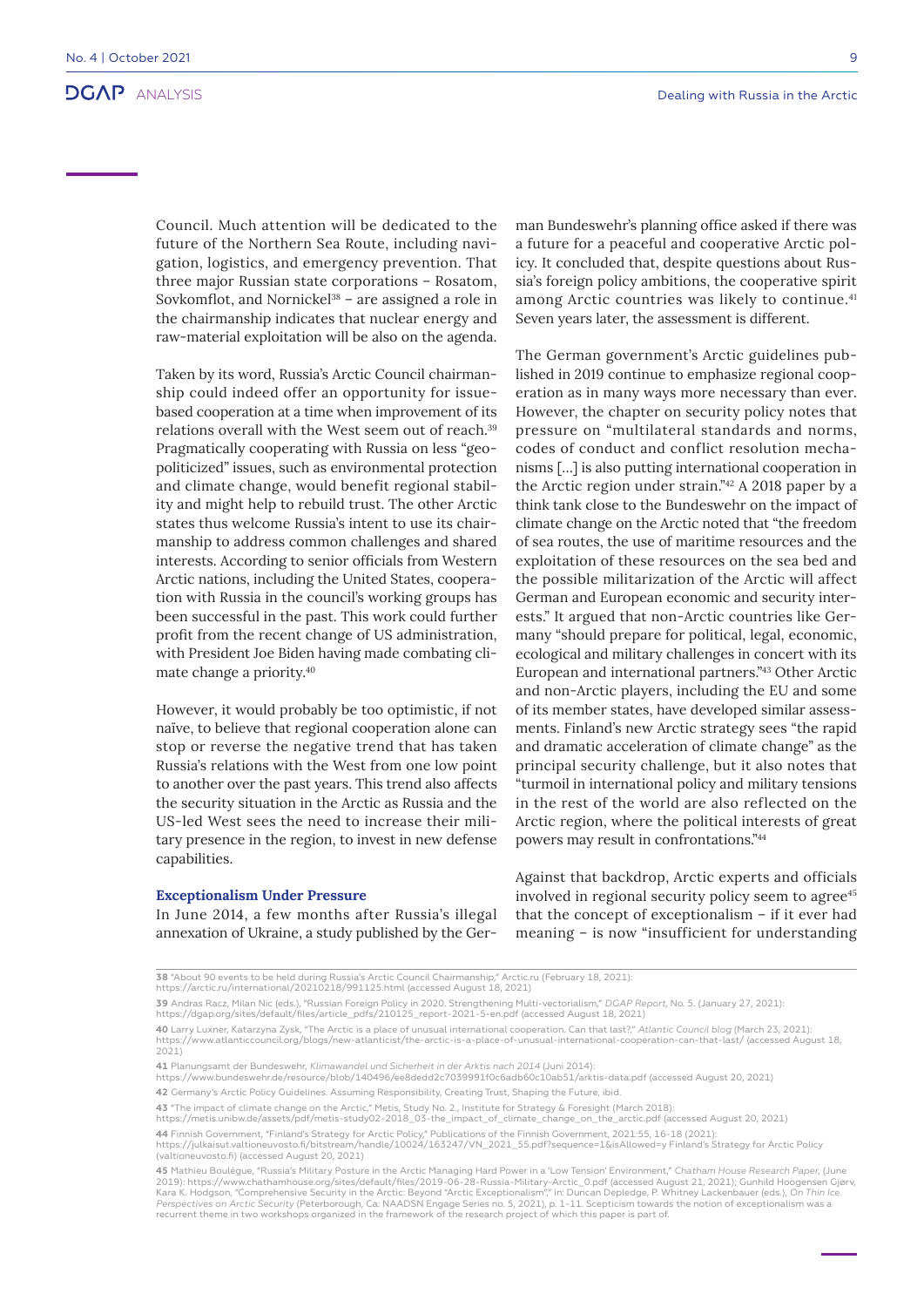Council. Much attention will be dedicated to the future of the Northern Sea Route, including navigation, logistics, and emergency prevention. That three major Russian state corporations – Rosatom, Sovkomflot, and Nornickel<sup>38</sup> – are assigned a role in the chairmanship indicates that nuclear energy and raw-material exploitation will be also on the agenda.

Taken by its word, Russia's Arctic Council chairmanship could indeed offer an opportunity for issuebased cooperation at a time when improvement of its relations overall with the West seem out of reach.<sup>39</sup> Pragmatically cooperating with Russia on less "geopoliticized" issues, such as environmental protection and climate change, would benefit regional stability and might help to rebuild trust. The other Arctic states thus welcome Russia's intent to use its chairmanship to address common challenges and shared interests. According to senior officials from Western Arctic nations, including the United States, cooperation with Russia in the council's working groups has been successful in the past. This work could further profit from the recent change of US administration, with President Joe Biden having made combating climate change a priority.40

However, it would probably be too optimistic, if not naïve, to believe that regional cooperation alone can stop or reverse the negative trend that has taken Russia's relations with the West from one low point to another over the past years. This trend also affects the security situation in the Arctic as Russia and the US-led West sees the need to increase their military presence in the region, to invest in new defense capabilities.

#### **Exceptionalism Under Pressure**

In June 2014, a few months after Russia's illegal annexation of Ukraine, a study published by the German Bundeswehr's planning office asked if there was a future for a peaceful and cooperative Arctic policy. It concluded that, despite questions about Russia's foreign policy ambitions, the cooperative spirit among Arctic countries was likely to continue.<sup>41</sup> Seven years later, the assessment is different.

The German government's Arctic guidelines published in 2019 continue to emphasize regional cooperation as in many ways more necessary than ever. However, the chapter on security policy notes that pressure on "multilateral standards and norms, codes of conduct and conflict resolution mechanisms […] is also putting international cooperation in the Arctic region under strain."42 A 2018 paper by a think tank close to the Bundeswehr on the impact of climate change on the Arctic noted that "the freedom of sea routes, the use of maritime resources and the exploitation of these resources on the sea bed and the possible militarization of the Arctic will affect German and European economic and security interests." It argued that non-Arctic countries like Germany "should prepare for political, legal, economic, ecological and military challenges in concert with its European and international partners."43 Other Arctic and non-Arctic players, including the EU and some of its member states, have developed similar assessments. Finland's new Arctic strategy sees "the rapid and dramatic acceleration of climate change" as the principal security challenge, but it also notes that "turmoil in international policy and military tensions in the rest of the world are also reflected on the Arctic region, where the political interests of great powers may result in confrontations."44

Against that backdrop, Arctic experts and officials involved in regional security policy seem to agree<sup>45</sup> that the concept of exceptionalism – if it ever had meaning – is now "insufficient for understanding

**38** "About 90 events to be held during Russia's Arctic Council Chairmanship," Arctic.ru (February 18, 2021):

**39** Andras Racz, Milan Nic (eds.), "Russian Foreign Policy in 2020. Strengthening Multi-vectorialism," *DGAP Report*, No. 5. (January 27, 2021): [https://dgap.org/sites/default/files/article\\_pdfs/210125\\_report-2021-5-en.pdf](https://dgap.org/sites/default/files/article_pdfs/210125_report-2021-5-en.pdf) (accessed August 18, 2021)

<https://arctic.ru/international/20210218/991125.html>(accessed August 18, 2021)

**<sup>40</sup>** Larry Luxner, Katarzyna Zysk, "The Arctic is a place of unusual international cooperation. Can that last?," *Atlantic Council blog* (March 23, 2021): <https://www.atlanticcouncil.org/blogs/new-atlanticist/the-arctic-is-a-place-of-unusual-international-cooperation-can-that-last/>(accessed August 18, 2021)

**<sup>41</sup>** Planungsamt der Bundeswehr, Klimawandel und Sicherheit in der Arktis nach 2014 (Juni 2014):<br><https://www.bundeswehr.de/resource/blob/140496/ee8dedd2c7039991f0c6adb60c10ab51/arktis-data.pdf>(accessed August 20, 2021) **42** Germany's Arctic Policy Guidelines. Assuming Responsibility, Creating Trust, Shaping the Future, ibid.

**<sup>43</sup>** "The impact of climate change on the Arctic," Metis, Study No. 2., Institute for Strategy & Foresight (March 2018):

[https://metis.unibw.de/assets/pdf/metis-study02-2018\\_03-the\\_impact\\_of\\_climate\\_change\\_on\\_the\\_arctic.pdf](https://metis.unibw.de/assets/pdf/metis-study02-2018_03-the_impact_of_climate_change_on_the_arctic.pdf) (accessed August 20, 2021)

**<sup>44</sup>** Finnish Government, "Finland's Strategy for Arctic Policy," Publications of the Finnish Government, 2021:55, 16-18 (2021): [https://julkaisut.valtioneuvosto.fi/bitstream/handle/10024/163247/VN\\_2021\\_55.pdf?sequence=1&isAllowed=y Finland's Strategy for Arctic Policy](https://julkaisut.valtioneuvosto.fi/bitstream/handle/10024/163247/VN_2021_55.pdf?sequence=1&isAllowed=y)  [\(valtioneuvosto.fi\)](https://julkaisut.valtioneuvosto.fi/bitstream/handle/10024/163247/VN_2021_55.pdf?sequence=1&isAllowed=y) (accessed August 20, 2021)

**<sup>45</sup>** Mathieu Boulègue, "Russia's Military Posture in the Arctic Managing Hard Power in a 'Low Tension' Environment," Chatham House Research Paper, (June<br>2019): https://www.chathamhouse.org/sites/default/files/2019-06-28-Ru Kara K. Hodgson, "Comprehensive Security in the Arctic: Beyond "Arctic Exceptionalism"," in: Duncan Depledge, P. Whitney Lackenbauer (eds.), On Thin Ice.<br>*Perspectives on Arctic Security (*Peterborough, Ca: NAADSN Engage S recurrent theme in two workshops organized in the framework of the research project of which this paper is part of.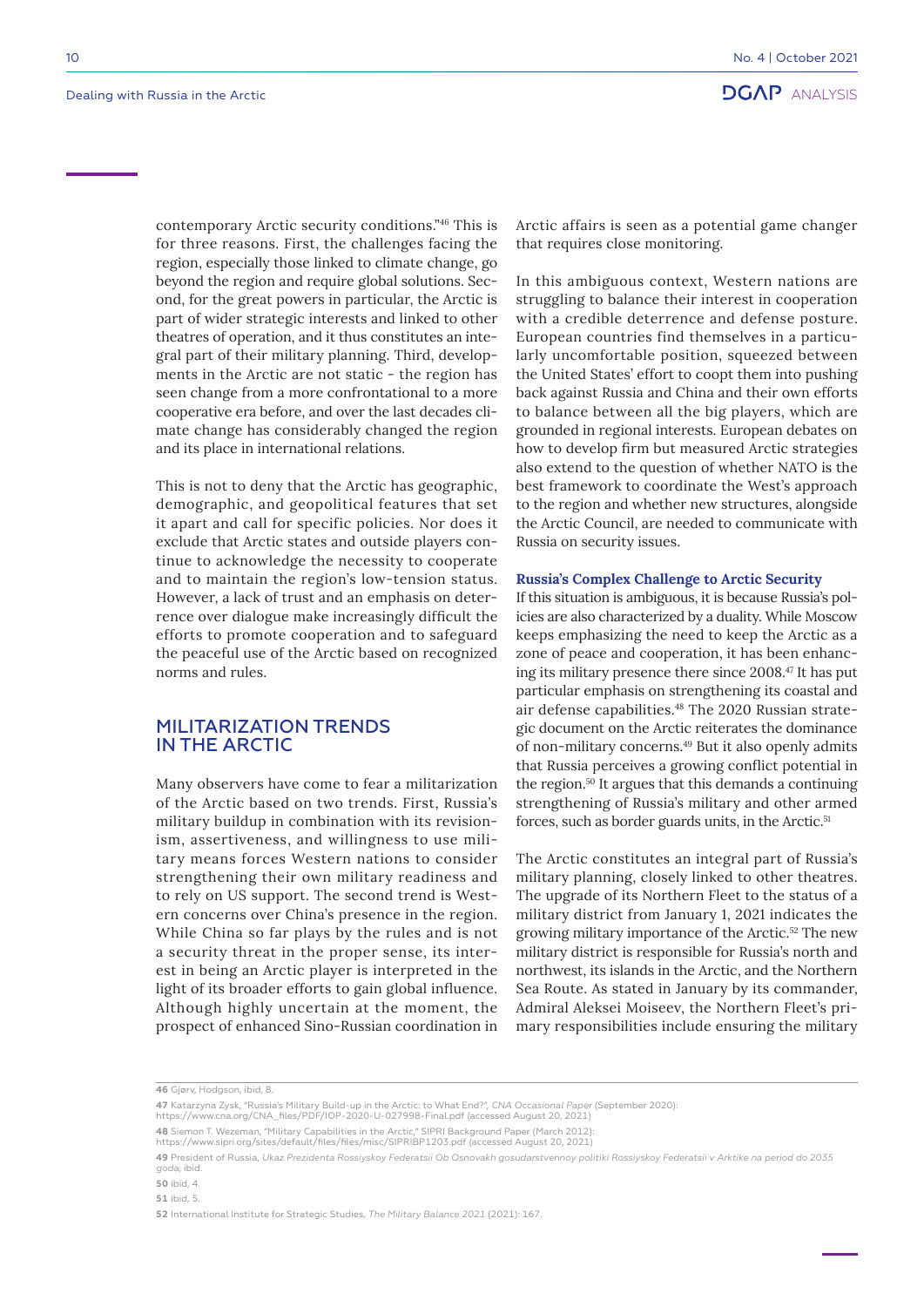contemporary Arctic security conditions."46 This is for three reasons. First, the challenges facing the region, especially those linked to climate change, go beyond the region and require global solutions. Second, for the great powers in particular, the Arctic is part of wider strategic interests and linked to other theatres of operation, and it thus constitutes an integral part of their military planning. Third, developments in the Arctic are not static - the region has seen change from a more confrontational to a more cooperative era before, and over the last decades climate change has considerably changed the region and its place in international relations.

This is not to deny that the Arctic has geographic, demographic, and geopolitical features that set it apart and call for specific policies. Nor does it exclude that Arctic states and outside players continue to acknowledge the necessity to cooperate and to maintain the region's low-tension status. However, a lack of trust and an emphasis on deterrence over dialogue make increasingly difficult the efforts to promote cooperation and to safeguard the peaceful use of the Arctic based on recognized norms and rules.

#### MILITARIZATION TRENDS IN THE ARCTIC

Many observers have come to fear a militarization of the Arctic based on two trends. First, Russia's military buildup in combination with its revisionism, assertiveness, and willingness to use military means forces Western nations to consider strengthening their own military readiness and to rely on US support. The second trend is Western concerns over China's presence in the region. While China so far plays by the rules and is not a security threat in the proper sense, its interest in being an Arctic player is interpreted in the light of its broader efforts to gain global influence. Although highly uncertain at the moment, the prospect of enhanced Sino-Russian coordination in Arctic affairs is seen as a potential game changer that requires close monitoring.

In this ambiguous context, Western nations are struggling to balance their interest in cooperation with a credible deterrence and defense posture. European countries find themselves in a particularly uncomfortable position, squeezed between the United States' effort to coopt them into pushing back against Russia and China and their own efforts to balance between all the big players, which are grounded in regional interests. European debates on how to develop firm but measured Arctic strategies also extend to the question of whether NATO is the best framework to coordinate the West's approach to the region and whether new structures, alongside the Arctic Council, are needed to communicate with Russia on security issues.

#### **Russia's Complex Challenge to Arctic Security**

If this situation is ambiguous, it is because Russia's policies are also characterized by a duality. While Moscow keeps emphasizing the need to keep the Arctic as a zone of peace and cooperation, it has been enhancing its military presence there since 2008.47 It has put particular emphasis on strengthening its coastal and air defense capabilities.<sup>48</sup> The 2020 Russian strategic document on the Arctic reiterates the dominance of non-military concerns.49 But it also openly admits that Russia perceives a growing conflict potential in the region.50 It argues that this demands a continuing strengthening of Russia's military and other armed forces, such as border guards units, in the Arctic.<sup>51</sup>

The Arctic constitutes an integral part of Russia's military planning, closely linked to other theatres. The upgrade of its Northern Fleet to the status of a military district from January 1, 2021 indicates the growing military importance of the Arctic.52 The new military district is responsible for Russia's north and northwest, its islands in the Arctic, and the Northern Sea Route. As stated in January by its commander, Admiral Aleksei Moiseev, the Northern Fleet's primary responsibilities include ensuring the military

**<sup>46</sup>** Gjørv, Hodgson, ibid, 8.

**<sup>47</sup>** Katarzyna Zysk, "Russia's Military Build-up in the Arctic: to What End?", CNA Occasional Paper (September 2020):<br>[https://www.cna.org/CNA\\_files/PDF/IOP-2020-U-027998-Final.pdf](https://www.cna.org/CNA_files/PDF/IOP-2020-U-027998-Final.pdf) (accessed August 20, 2021)

**<sup>48</sup>** Siemon T. Wezeman, "Military Capabilities in the Arctic," SIPRI Background Paper (March 2012):<br><https://www.sipri.org/sites/default/files/files/misc/SIPRIBP1203.pdf>(accessed August 20, 2021)

**<sup>49</sup>** President of Russia, *Ukaz Prezidenta Rossiyskoy Federatsii Ob Osnovakh gosudarstvennoy politiki Rossiyskoy Federatsii v Arktike na period do 2035 goda*, ibid.

**<sup>50</sup>** ibid, 4.

**<sup>51</sup>** ibid, 5.

**<sup>52</sup>** International Institute for Strategic Studies, *The Military Balance 2021* (2021): 167.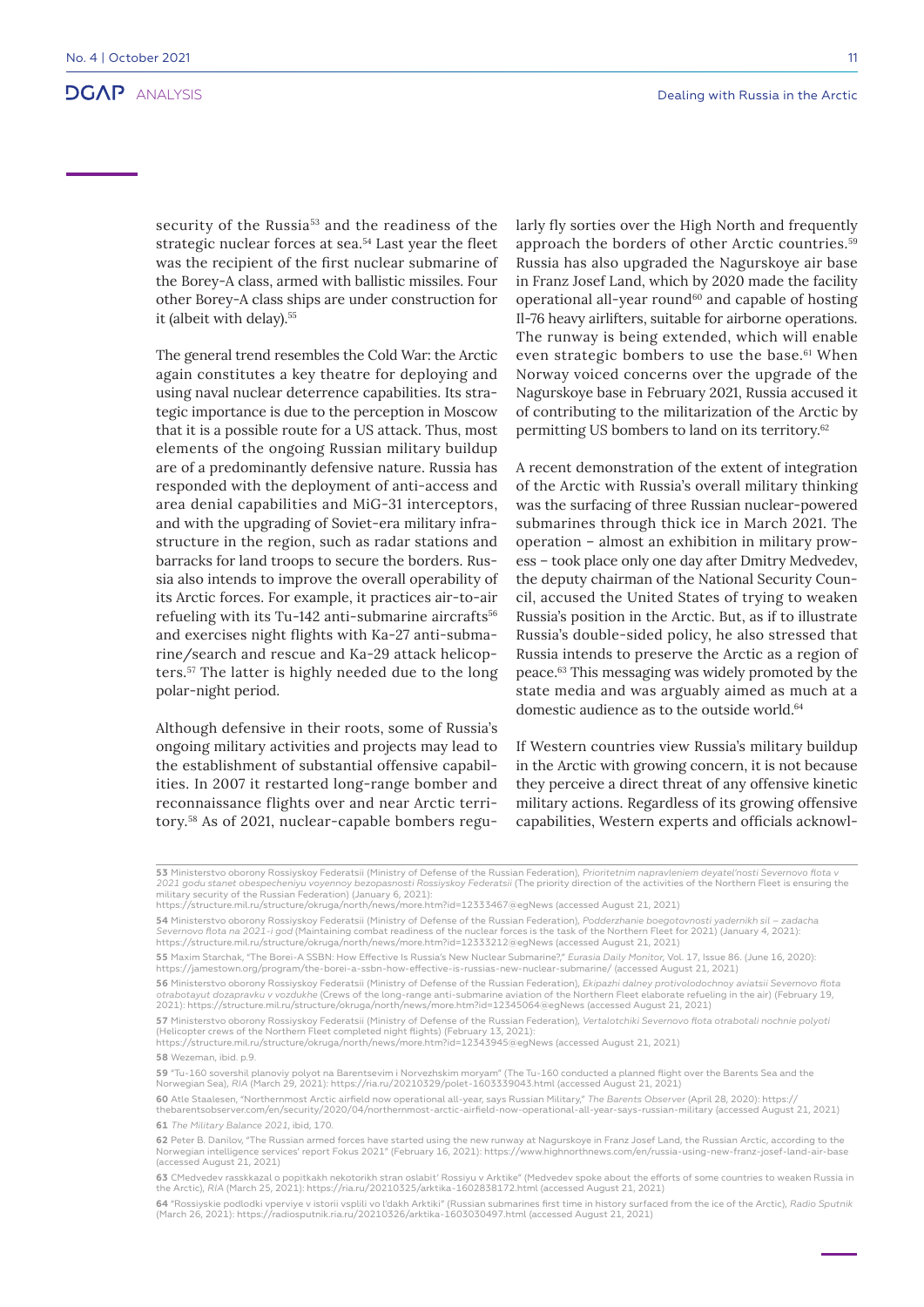security of the Russia<sup>53</sup> and the readiness of the strategic nuclear forces at sea.54 Last year the fleet was the recipient of the first nuclear submarine of the Borey-A class, armed with ballistic missiles. Four other Borey-A class ships are under construction for it (albeit with delay).55

The general trend resembles the Cold War: the Arctic again constitutes a key theatre for deploying and using naval nuclear deterrence capabilities. Its strategic importance is due to the perception in Moscow that it is a possible route for a US attack. Thus, most elements of the ongoing Russian military buildup are of a predominantly defensive nature. Russia has responded with the deployment of anti-access and area denial capabilities and MiG-31 interceptors, and with the upgrading of Soviet-era military infrastructure in the region, such as radar stations and barracks for land troops to secure the borders. Russia also intends to improve the overall operability of its Arctic forces. For example, it practices air-to-air refueling with its Tu-142 anti-submarine aircrafts<sup>56</sup> and exercises night flights with Ka-27 anti-submarine/search and rescue and Ka-29 attack helicopters.57 The latter is highly needed due to the long polar-night period.

Although defensive in their roots, some of Russia's ongoing military activities and projects may lead to the establishment of substantial offensive capabilities. In 2007 it restarted long-range bomber and reconnaissance flights over and near Arctic territory.58 As of 2021, nuclear-capable bombers regularly fly sorties over the High North and frequently approach the borders of other Arctic countries.<sup>59</sup> Russia has also upgraded the Nagurskoye air base in Franz Josef Land, which by 2020 made the facility operational all-year round $60$  and capable of hosting Il-76 heavy airlifters, suitable for airborne operations. The runway is being extended, which will enable even strategic bombers to use the base.<sup>61</sup> When Norway voiced concerns over the upgrade of the Nagurskoye base in February 2021, Russia accused it of contributing to the militarization of the Arctic by permitting US bombers to land on its territory.62

A recent demonstration of the extent of integration of the Arctic with Russia's overall military thinking was the surfacing of three Russian nuclear-powered submarines through thick ice in March 2021. The operation – almost an exhibition in military prowess – took place only one day after Dmitry Medvedev, the deputy chairman of the National Security Council, accused the United States of trying to weaken Russia's position in the Arctic. But, as if to illustrate Russia's double-sided policy, he also stressed that Russia intends to preserve the Arctic as a region of peace.63 This messaging was widely promoted by the state media and was arguably aimed as much at a domestic audience as to the outside world.<sup>64</sup>

If Western countries view Russia's military buildup in the Arctic with growing concern, it is not because they perceive a direct threat of any offensive kinetic military actions. Regardless of its growing offensive capabilities, Western experts and officials acknowl-

**54** Ministerstvo oborony Rossiyskoy Federatsii (Ministry of Defense of the Russian Federation), *Podderzhanie boegotovnosti yadernikh sil – zadacha*<br>Severnovo flota na 2021-i god (Maintaining combat readiness of the nucle

**55** Maxim Starchak, "The Borei-A SSBN: How Effective Is Russia's New Nuclear Submarine?," *Eurasia Daily Monitor*, Vol. 17, Issue 86. (June 16, 2020): <https://jamestown.org/program/the-borei-a-ssbn-how-effective-is-russias-new-nuclear-submarine/> (accessed August 21, 2021)

**56** Ministerstvo oborony Rossiyskoy Federatsii (Ministry of Defense of the Russian Federation), *Ekipazhi dalney protivolodochnoy aviatsii Severnovo flota otrabotayut dozapravku v vozdukhe* (Crews of the long-range anti-submarine aviation of the Northern Fleet elaborate refueling in the air) (February 19, 2021): <https://structure.mil.ru/structure/okruga/north/news/more.htm?id=12345064@egNews>(accessed August 21, 2021)

**57** Ministerstvo oborony Rossiyskoy Federatsii (Ministry of Defense of the Russian Federation), *Vertalotchiki Severnovo flota otrabotali nochnie polyoti*  (Helicopter crews of the Northern Fleet completed night flights) (February 13, 2021): <https://structure.mil.ru/structure/okruga/north/news/more.htm?id=12343945@egNews>(accessed August 21, 2021)

**58** Wezeman, ibid. p.9.

**63** CMedvedev rasskkazal o popitkakh nekotorikh stran oslabit' Rossiyu v Arktike" (Medvedev spoke about the efforts of some countries to weaken Russia in the Arctic), *RIA* (March 25, 2021): <https://ria.ru/20210325/arktika-1602838172.html>(accessed August 21, 2021)

**<sup>53</sup>** Ministerstvo oborony Rossiyskoy Federatsii (Ministry of Defense of the Russian Federation), *Prioritetnim napravleniem deyatel'nosti Severnovo flota v 2021 godu stanet obespecheniyu voyennoy bezopasnosti Rossiyskoy Federatsii* (The priority direction of the activities of the Northern Fleet is ensuring the 2021 godu stanet obespecheniyu voyennoy bezopasnosti Ros<br>military security of the Russian Federation) (January 6, 2021):

<https://structure.mil.ru/structure/okruga/north/news/more.htm?id=12333467@egNews>(accessed August 21, 2021)

**<sup>59</sup>** "Tu-160 sovershil planoviy polyot na Barentsevim i Norvezhskim moryam" (The Tu-160 conducted a planned flight over the Barents Sea and the Norwegian Sea), *RIA* (March 29, 2021):<https://ria.ru/20210329/polet-1603339043.html>(accessed August 21, 2021)

**<sup>60</sup>** Atle Staalesen, "Northernmost Arctic airfield now operational all-year, says Russian Military," *The Barents Observer* (April 28, 2020): [https://](https://thebarentsobserver.com/en/security/2020/04/northernmost-arctic-airfield-now-operational-all-year-says-russian-military) [thebarentsobserver.com/en/security/2020/04/northernmost-arctic-airfield-now-operational-all-year-says-russian-military](https://thebarentsobserver.com/en/security/2020/04/northernmost-arctic-airfield-now-operational-all-year-says-russian-military) (accessed August 21, 2021) **61** *The Military Balance 2021*, ibid, 170.

**<sup>62</sup>** Peter B. Danilov, "The Russian armed forces have started using the new runway at Nagurskoye in Franz Josef Land, the Russian Arctic, according to the<br>Norwegian intelligence services' report Fokus 2021." (February 16, (accessed August 21, 2021)

**<sup>64</sup>** "Rossiyskie podlodki vperviye v istorii vsplili vo l'dakh Arktiki" (Russian submarines first time in history surfaced from the ice of the Arctic), *Radio Sputnik* (March 26, 2021): <https://radiosputnik.ria.ru/20210326/arktika-1603030497.html> (accessed August 21, 2021)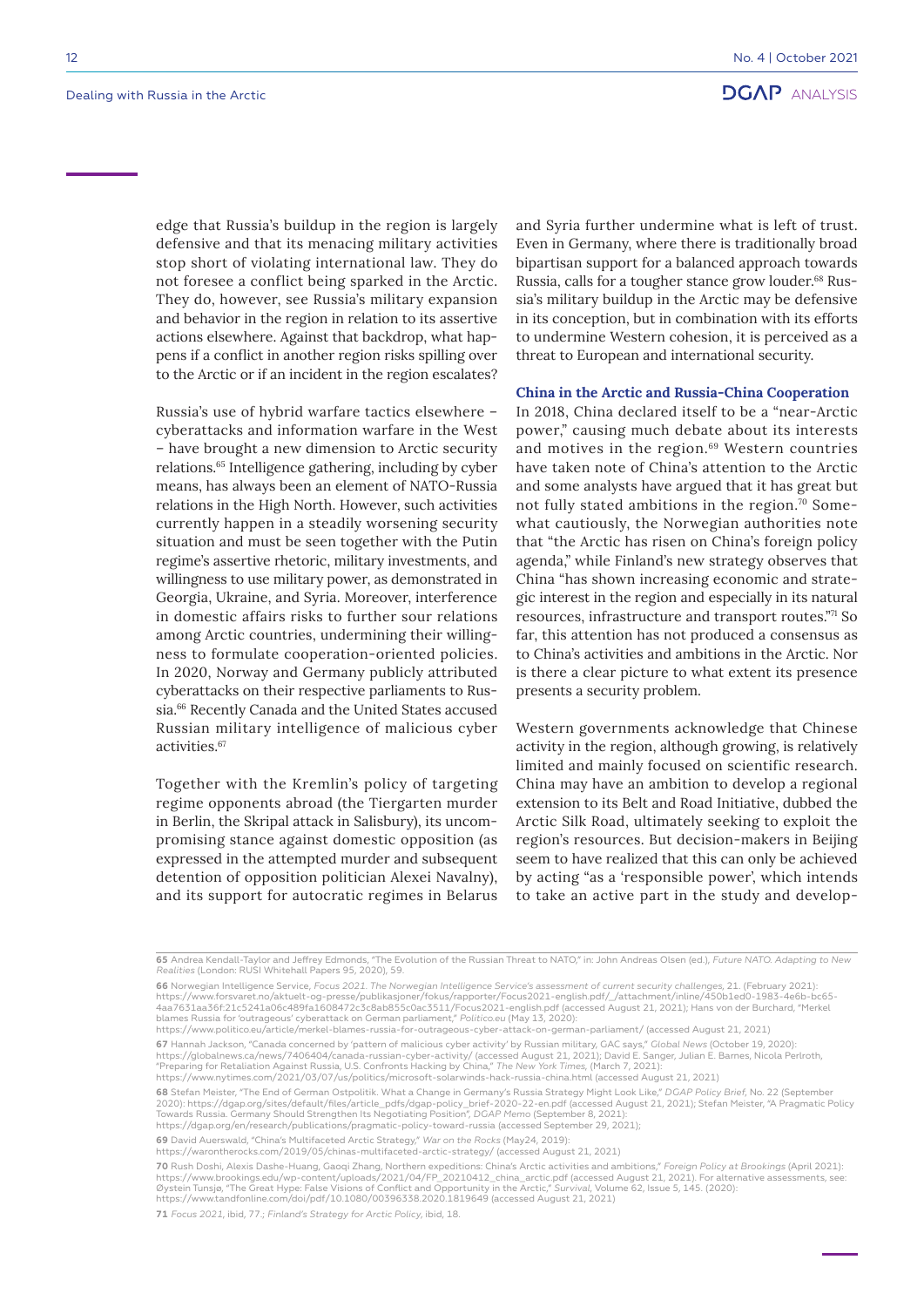edge that Russia's buildup in the region is largely defensive and that its menacing military activities stop short of violating international law. They do not foresee a conflict being sparked in the Arctic. They do, however, see Russia's military expansion and behavior in the region in relation to its assertive actions elsewhere. Against that backdrop, what happens if a conflict in another region risks spilling over to the Arctic or if an incident in the region escalates?

Russia's use of hybrid warfare tactics elsewhere – cyberattacks and information warfare in the West – have brought a new dimension to Arctic security relations.65 Intelligence gathering, including by cyber means, has always been an element of NATO-Russia relations in the High North. However, such activities currently happen in a steadily worsening security situation and must be seen together with the Putin regime's assertive rhetoric, military investments, and willingness to use military power, as demonstrated in Georgia, Ukraine, and Syria. Moreover, interference in domestic affairs risks to further sour relations among Arctic countries, undermining their willingness to formulate cooperation-oriented policies. In 2020, Norway and Germany publicly attributed cyberattacks on their respective parliaments to Russia.<sup>66</sup> Recently Canada and the United States accused Russian military intelligence of malicious cyber activities.67

Together with the Kremlin's policy of targeting regime opponents abroad (the Tiergarten murder in Berlin, the Skripal attack in Salisbury), its uncompromising stance against domestic opposition (as expressed in the attempted murder and subsequent detention of opposition politician Alexei Navalny), and its support for autocratic regimes in Belarus and Syria further undermine what is left of trust. Even in Germany, where there is traditionally broad bipartisan support for a balanced approach towards Russia, calls for a tougher stance grow louder.<sup>68</sup> Russia's military buildup in the Arctic may be defensive in its conception, but in combination with its efforts to undermine Western cohesion, it is perceived as a threat to European and international security.

#### **China in the Arctic and Russia-China Cooperation**

In 2018, China declared itself to be a "near-Arctic power," causing much debate about its interests and motives in the region.<sup>69</sup> Western countries have taken note of China's attention to the Arctic and some analysts have argued that it has great but not fully stated ambitions in the region.70 Somewhat cautiously, the Norwegian authorities note that "the Arctic has risen on China's foreign policy agenda," while Finland's new strategy observes that China "has shown increasing economic and strategic interest in the region and especially in its natural resources, infrastructure and transport routes."71 So far, this attention has not produced a consensus as to China's activities and ambitions in the Arctic. Nor is there a clear picture to what extent its presence presents a security problem.

Western governments acknowledge that Chinese activity in the region, although growing, is relatively limited and mainly focused on scientific research. China may have an ambition to develop a regional extension to its Belt and Road Initiative, dubbed the Arctic Silk Road, ultimately seeking to exploit the region's resources. But decision-makers in Beijing seem to have realized that this can only be achieved by acting "as a 'responsible power', which intends to take an active part in the study and develop-

**67** Hannah Jackson, "Canada concerned by 'pattern of malicious cyber activity' by Russian military, GAC says," *Global News* (October 19, 2020): <https://globalnews.ca/news/7406404/canada-russian-cyber-activity/>(accessed August 21, 2021); David E. Sanger, Julian E. Barnes, Nicola Perlroth,<br>"Preparing for Retaliation Against Russia, U.S. Confronts Hacking by China," <https://www.nytimes.com/2021/03/07/us/politics/microsoft-solarwinds-hack-russia-china.html>(accessed August 21, 2021)

**68** Stefan Meister, "The End of German Ostpolitik. What a Change in Germany's Russia Strategy Might Look Like," *DGAP Policy Brief*, No. 22 (September<br>2020): https://dgap.org/sites/default/files/article\_pdfs/dgap-policy\_b https://dgap.org/en/research/publications/pragmatic-policy-toward-russia (accessed September 29, 2021);

**69** David Auerswald, "China's Multifaceted Arctic Strategy," *War on the Rocks* (May24, 2019):

**70** Rush Doshi, Alexis Dashe-Huang, Gaoqi Zhang, Northern expeditions: China's Arctic activities and ambitions," Foreign Policy at Brookings (April 2021):<br>https://www.brookings.edu/wp-content/uploads/2021/04/FP\_20210412\_c Øystein Tunsjø, "The Great Hype: False Visions of Conflict and Opportunity in the Arctic," Survival, Volume 62, Issue 5, 145. (2020):<br>https://www.tandfonline.com/doi/pdf/10.1080/00396338.2020.1819649 (accessed August 21, 2

**71** *Focus 2021*, ibid, 77.; *Finland's Strategy for Arctic Policy*, ibid, 18.

**<sup>65</sup>** Andrea Kendall-Taylor and Jeffrey Edmonds, "The Evolution of the Russian Threat to NATO," in: John Andreas Olsen (ed.), *Future NATO. Adapting to New Realities* (London: RUSI Whitehall Papers 95, 2020), 59.

**<sup>66</sup>** Norwegian Intelligence Service, *Focus 2021. The Norwegian Intelligence Service's assessment of current security challenges*, 21. (February 2021): [https://www.forsvaret.no/aktuelt-og-presse/publikasjoner/fokus/rapporter/Focus2021-english.pdf/\\_/attachment/inline/450b1ed0-1983-4e6b-bc65-](https://www.forsvaret.no/aktuelt-og-presse/publikasjoner/fokus/rapporter/Focus2021-english.pdf/_/attachment/inline/450b1ed0-1983-4e6b-bc65-4aa7631aa36f:21c5241a06c489fa1608472c3c8ab855c0ac3511/Focus2021-english.pdf) [4aa7631aa36f:21c5241a06c489fa1608472c3c8ab855c0ac3511/Focus2021-english.pdf](https://www.forsvaret.no/aktuelt-og-presse/publikasjoner/fokus/rapporter/Focus2021-english.pdf/_/attachment/inline/450b1ed0-1983-4e6b-bc65-4aa7631aa36f:21c5241a06c489fa1608472c3c8ab855c0ac3511/Focus2021-english.pdf) (accessed August 21, 2021); Hans von der Burchard, "Merkel blames Russia for 'outrageous' cyberattack on German parliament," *Politico.eu* (May 13, 2020):

<https://www.politico.eu/article/merkel-blames-russia-for-outrageous-cyber-attack-on-german-parliament/>(accessed August 21, 2021)

<https://warontherocks.com/2019/05/chinas-multifaceted-arctic-strategy/> (accessed August 21, 2021)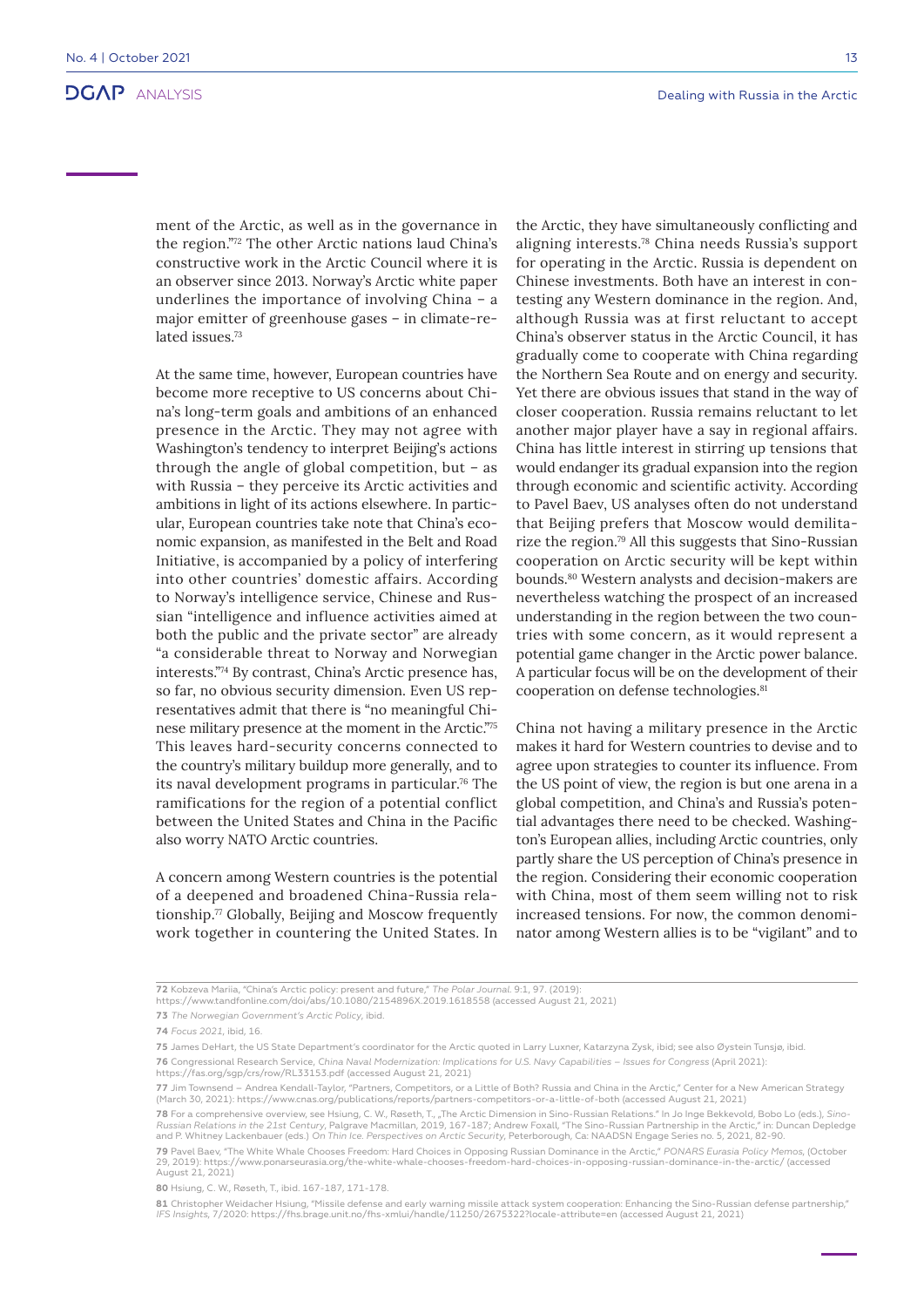ment of the Arctic, as well as in the governance in the region."72 The other Arctic nations laud China's constructive work in the Arctic Council where it is an observer since 2013. Norway's Arctic white paper underlines the importance of involving China – a major emitter of greenhouse gases – in climate-related issues.73

At the same time, however, European countries have become more receptive to US concerns about China's long-term goals and ambitions of an enhanced presence in the Arctic. They may not agree with Washington's tendency to interpret Beijing's actions through the angle of global competition, but – as with Russia – they perceive its Arctic activities and ambitions in light of its actions elsewhere. In particular, European countries take note that China's economic expansion, as manifested in the Belt and Road Initiative, is accompanied by a policy of interfering into other countries' domestic affairs. According to Norway's intelligence service, Chinese and Russian "intelligence and influence activities aimed at both the public and the private sector" are already "a considerable threat to Norway and Norwegian interests."74 By contrast, China's Arctic presence has, so far, no obvious security dimension. Even US representatives admit that there is "no meaningful Chinese military presence at the moment in the Arctic."75 This leaves hard-security concerns connected to the country's military buildup more generally, and to its naval development programs in particular.76 The ramifications for the region of a potential conflict between the United States and China in the Pacific also worry NATO Arctic countries.

A concern among Western countries is the potential of a deepened and broadened China-Russia relationship. $\frac{7}{7}$  Globally, Beijing and Moscow frequently work together in countering the United States. In the Arctic, they have simultaneously conflicting and aligning interests.78 China needs Russia's support for operating in the Arctic. Russia is dependent on Chinese investments. Both have an interest in contesting any Western dominance in the region. And, although Russia was at first reluctant to accept China's observer status in the Arctic Council, it has gradually come to cooperate with China regarding the Northern Sea Route and on energy and security. Yet there are obvious issues that stand in the way of closer cooperation. Russia remains reluctant to let another major player have a say in regional affairs. China has little interest in stirring up tensions that would endanger its gradual expansion into the region through economic and scientific activity. According to Pavel Baev, US analyses often do not understand that Beijing prefers that Moscow would demilitarize the region.79 All this suggests that Sino-Russian cooperation on Arctic security will be kept within bounds.80 Western analysts and decision-makers are nevertheless watching the prospect of an increased understanding in the region between the two countries with some concern, as it would represent a potential game changer in the Arctic power balance. A particular focus will be on the development of their cooperation on defense technologies.<sup>81</sup>

China not having a military presence in the Arctic makes it hard for Western countries to devise and to agree upon strategies to counter its influence. From the US point of view, the region is but one arena in a global competition, and China's and Russia's potential advantages there need to be checked. Washington's European allies, including Arctic countries, only partly share the US perception of China's presence in the region. Considering their economic cooperation with China, most of them seem willing not to risk increased tensions. For now, the common denominator among Western allies is to be "vigilant" and to

**80** Hsiung, C. W., Røseth, T., ibid. 167-187, 171-178.

**81** Christopher Weidacher Hsiung, "Missile defense and early warning missile attack system cooperation: Enhancing the Sino-Russian defense partnership,"<br>*IFS Insights,* 7/2020: https://fhs.brage.unit.no/fhs-xmlui/handle/1

**<sup>72</sup>** Kobzeva Mariia, "China's Arctic policy: present and future," *The Polar Journal*. 9:1, 97. (2019): <https://www.tandfonline.com/doi/abs/10.1080/2154896X.2019.1618558>(accessed August 21, 2021)

**<sup>73</sup>** *The Norwegian Government's Arctic Policy*, ibid.

**<sup>74</sup>** *Focus 2021*, ibid, 16.

**<sup>75</sup>** James DeHart, the US State Department's coordinator for the Arctic quoted in Larry Luxner, Katarzyna Zysk, ibid; see also Øystein Tunsjø, ibid. **76** Congressional Research Service, *China Naval Modernization: Implications for U.S. Navy Capabilities – Issues for Congress* (April 2021):

<https://fas.org/sgp/crs/row/RL33153.pdf> (accessed August 21, 2021)

**<sup>77</sup>** Jim Townsend – Andrea Kendall-Taylor, "Partners, Competitors, or a Little of Both? Russia and China in the Arctic," Center for a New American Strategy (March 30, 2021): <https://www.cnas.org/publications/reports/partners-competitors-or-a-little-of-both> (accessed August 21, 2021)

**<sup>78</sup>** For a comprehensive overview, see Hsiung, C. W., Røseth, T., "The Arctic Dimension in Sino-Russian Relations." In Jo Inge Bekkevold, Bobo Lo (eds.), *Sino-*Russian Relations in the 21st Century, Palgrave Macmillan, 2019, 167-187; Andrew Foxall, "The Sino-Russian Partnership in the Arctic," in: Duncan Depledge<br>and P. Whitney Lackenbauer (eds.) On Thin Ice. Perspectives on Arct

**<sup>79</sup>** Pavel Baev, "The White Whale Chooses Freedom: Hard Choices in Opposing Russian Dominance in the Arctic," *PONARS Eurasia Policy Memos*, (October 29, 2019):<https://www.ponarseurasia.org/the-white-whale-chooses-freedom-hard-choices-in-opposing-russian-dominance-in-the-arctic/>(accessed August 21, 2021)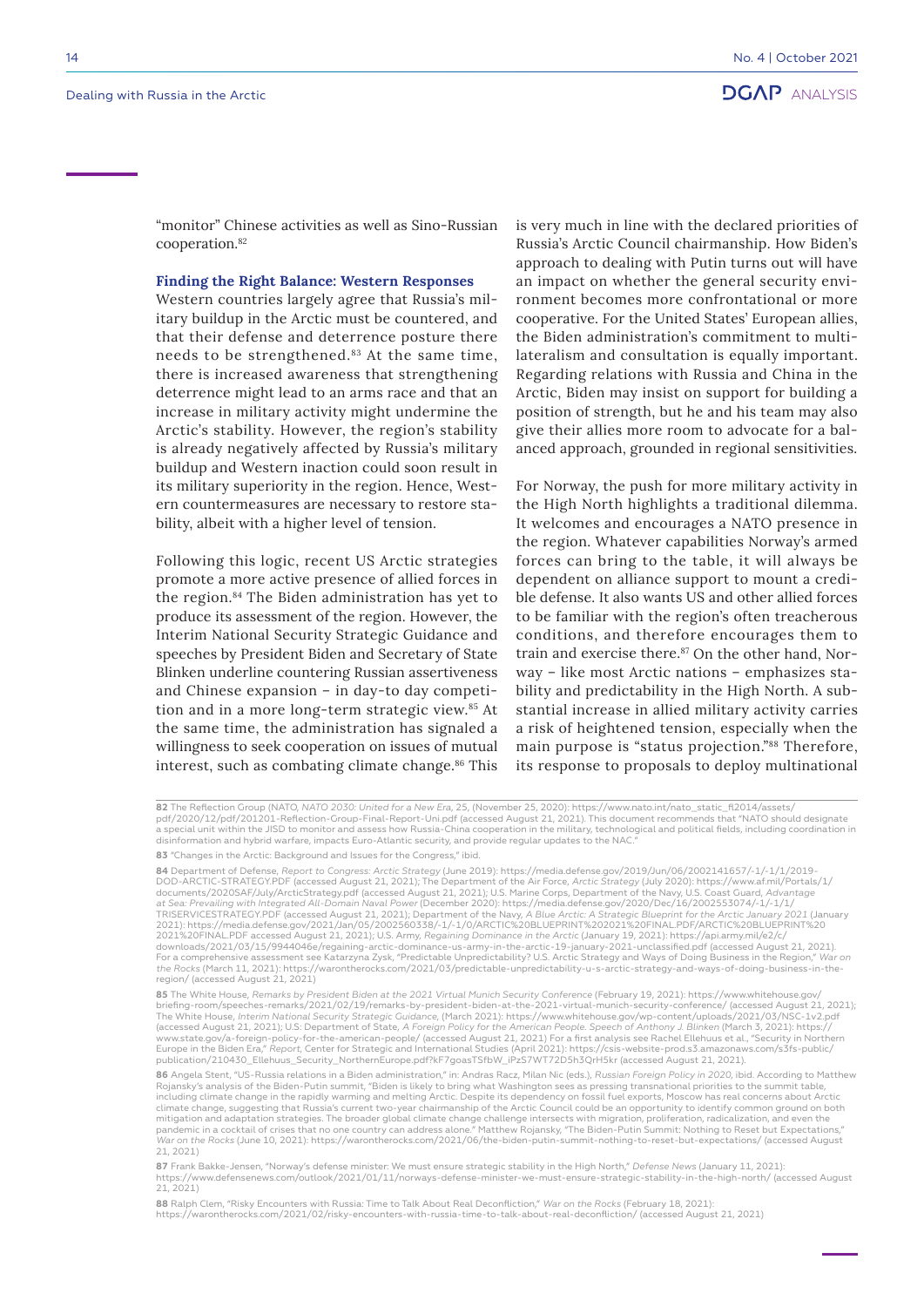"monitor" Chinese activities as well as Sino-Russian cooperation.82

#### **Finding the Right Balance: Western Responses**

Western countries largely agree that Russia's military buildup in the Arctic must be countered, and that their defense and deterrence posture there needs to be strengthened.83 At the same time, there is increased awareness that strengthening deterrence might lead to an arms race and that an increase in military activity might undermine the Arctic's stability. However, the region's stability is already negatively affected by Russia's military buildup and Western inaction could soon result in its military superiority in the region. Hence, Western countermeasures are necessary to restore stability, albeit with a higher level of tension.

Following this logic, recent US Arctic strategies promote a more active presence of allied forces in the region.84 The Biden administration has yet to produce its assessment of the region. However, the Interim National Security Strategic Guidance and speeches by President Biden and Secretary of State Blinken underline countering Russian assertiveness and Chinese expansion – in day-to day competition and in a more long-term strategic view.85 At the same time, the administration has signaled a willingness to seek cooperation on issues of mutual interest, such as combating climate change.<sup>86</sup> This is very much in line with the declared priorities of Russia's Arctic Council chairmanship. How Biden's approach to dealing with Putin turns out will have an impact on whether the general security environment becomes more confrontational or more cooperative. For the United States' European allies, the Biden administration's commitment to multilateralism and consultation is equally important. Regarding relations with Russia and China in the Arctic, Biden may insist on support for building a position of strength, but he and his team may also give their allies more room to advocate for a balanced approach, grounded in regional sensitivities.

For Norway, the push for more military activity in the High North highlights a traditional dilemma. It welcomes and encourages a NATO presence in the region. Whatever capabilities Norway's armed forces can bring to the table, it will always be dependent on alliance support to mount a credible defense. It also wants US and other allied forces to be familiar with the region's often treacherous conditions, and therefore encourages them to train and exercise there.<sup>87</sup> On the other hand, Norway – like most Arctic nations – emphasizes stability and predictability in the High North. A substantial increase in allied military activity carries a risk of heightened tension, especially when the main purpose is "status projection."88 Therefore, its response to proposals to deploy multinational

**88** Ralph Clem, "Risky Encounters with Russia: Time to Talk About Real Deconfliction," *War on the Rocks* (February 18, 2021): <https://warontherocks.com/2021/02/risky-encounters-with-russia-time-to-talk-about-real-deconfliction/>(accessed August 21, 2021)

**<sup>82</sup>** The Reflection Group (NATO, *NATO 2030: United for a New Era*, 25, (November 25, 2020): [https://www.nato.int/nato\\_static\\_fl2014/assets/](https://www.nato.int/nato_static_fl2014/assets/pdf/2020/12/pdf/201201-Reflection-Group-Final-Report-Uni.pdf) [pdf/2020/12/pdf/201201-Reflection-Group-Final-Report-Uni.pdf](https://www.nato.int/nato_static_fl2014/assets/pdf/2020/12/pdf/201201-Reflection-Group-Final-Report-Uni.pdf) (accessed August 21, 2021). This document recomm a special unit within the JISD to monitor and assess how Russia-China cooperation in the military, technological and political fields, including coordination in disinformation and hybrid warfare, impacts Euro-Atlantic security, and provide regular updates to the NAC."

**<sup>83</sup>** "Changes in the Arctic: Background and Issues for the Congress," ibid.

<sup>84</sup> Department of Defense, Report to Congress: Arctic Strategy (June 2019): [https://media.defense.gov/2019/Jun/06/2002141657/-1/-1/1/2019-](https://media.defense.gov/2019/Jun/06/2002141657/-1/-1/1/2019-DOD-ARCTIC-STRATEGY.PDF)<br>DOD-ARCTIC-STRATEGY:PDF (accessed August 21, 2021); The Department of the Air Force, [2021%20FINAL.PDF](https://media.defense.gov/2021/Jan/05/2002560338/-1/-1/0/ARCTIC%20BLUEPRINT%202021%20FINAL.PDF/ARCTIC%20BLUEPRINT%202021%20FINAL.PDF) accessed August 21, 2021); U.S. Army, Regaining Dominance in the Arctic (January 19, 2021): [https://api.army.mil/e2/c/](https://api.army.mil/e2/c/downloads/2021/03/15/9944046e/regaining-arctic-dominance-us-army-in-the-arctic-19-january-2021-unclassified.pdf)<br>downloads/2021/03/15/9944046e/regaining-arctic-dominance-us-army-in-the-arctic-19-janu For a comprehensive assessment see Katarzyna Zysk, "Predictable Unpredictability? U.S. Arctic Strategy and Ways of Doing Business in the Region," *War on the Rocks* (March 11, 2021): [https://warontherocks.com/2021/03/predictable-unpredictability-u-s-arctic-strategy-and-ways-of-doing-business-in-the](https://warontherocks.com/2021/03/predictable-unpredictability-u-s-arctic-strategy-and-ways-of-doing-business-in-the-region/)[region/](https://warontherocks.com/2021/03/predictable-unpredictability-u-s-arctic-strategy-and-ways-of-doing-business-in-the-region/) (accessed August 21, 2021)

**<sup>85</sup>** The White House, Remarks by President Biden at the 2021 Virtual Munich Security Conference (February 19, 2021): [https://www.whitehouse.gov/](https://www.whitehouse.gov/briefing-room/speeches-remarks/2021/02/19/remarks-by-president-biden-at-the-2021-virtual-munich-security-conference/)<br>briefing-room/speeches-remarks/2021/02/19/remarks-by-president-biden-at-the-2 (accessed August 21, 2021); U.S: Department of State, A Foreign Policy for the American People. Speech of Anthony J. Blinken (March 3, 2021): [https://](https://www.state.gov/a-foreign-policy-for-the-american-people/)<br>[www.state.gov/a-foreign-policy-for-the-american-people/](https://www.state.gov/a-foreign-policy-for-the-american-people/) (accessed Augus [publication/210430\\_Ellehuus\\_Security\\_NorthernEurope.pdf?kF7goasTSfbW\\_iPzS7WT72D5h3QrH5kr](https://csis-website-prod.s3.amazonaws.com/s3fs-public/publication/210430_Ellehuus_Security_NorthernEurope.pdf?kF7goasTSfbW_iPzS7WT72D5h3QrH5kr) (accessed August 21, 2021).

**<sup>86</sup>** Angela Stent, "US-Russia relations in a Biden administration," in: Andras Racz, Milan Nic (eds.), *Russian Foreign Policy in 2020*, ibid. According to Matthew Rojansky's analysis of the Biden-Putin summit, "Biden is likely to bring what Washington sees as pressing transnational priorities to the summit table,<br>including climate change in the rapidly warming and melting Arctic. De climate change, suggesting that Russia's current two-year chairmanship of the Arctic Council could be an opportunity to identify common ground on both<br>mitigation and adaptation strategies. The broader global climate change *War on the Rocks* (June 10, 2021):<https://warontherocks.com/2021/06/the-biden-putin-summit-nothing-to-reset-but-expectations/>(accessed August 21, 2021)

**<sup>87</sup>** Frank Bakke-Jensen, "Norway's defense minister: We must ensure strategic stability in the High North," *Defense News* (January 11, 2021): <https://www.defensenews.com/outlook/2021/01/11/norways-defense-minister-we-must-ensure-strategic-stability-in-the-high-north/>(accessed August 21, 2021)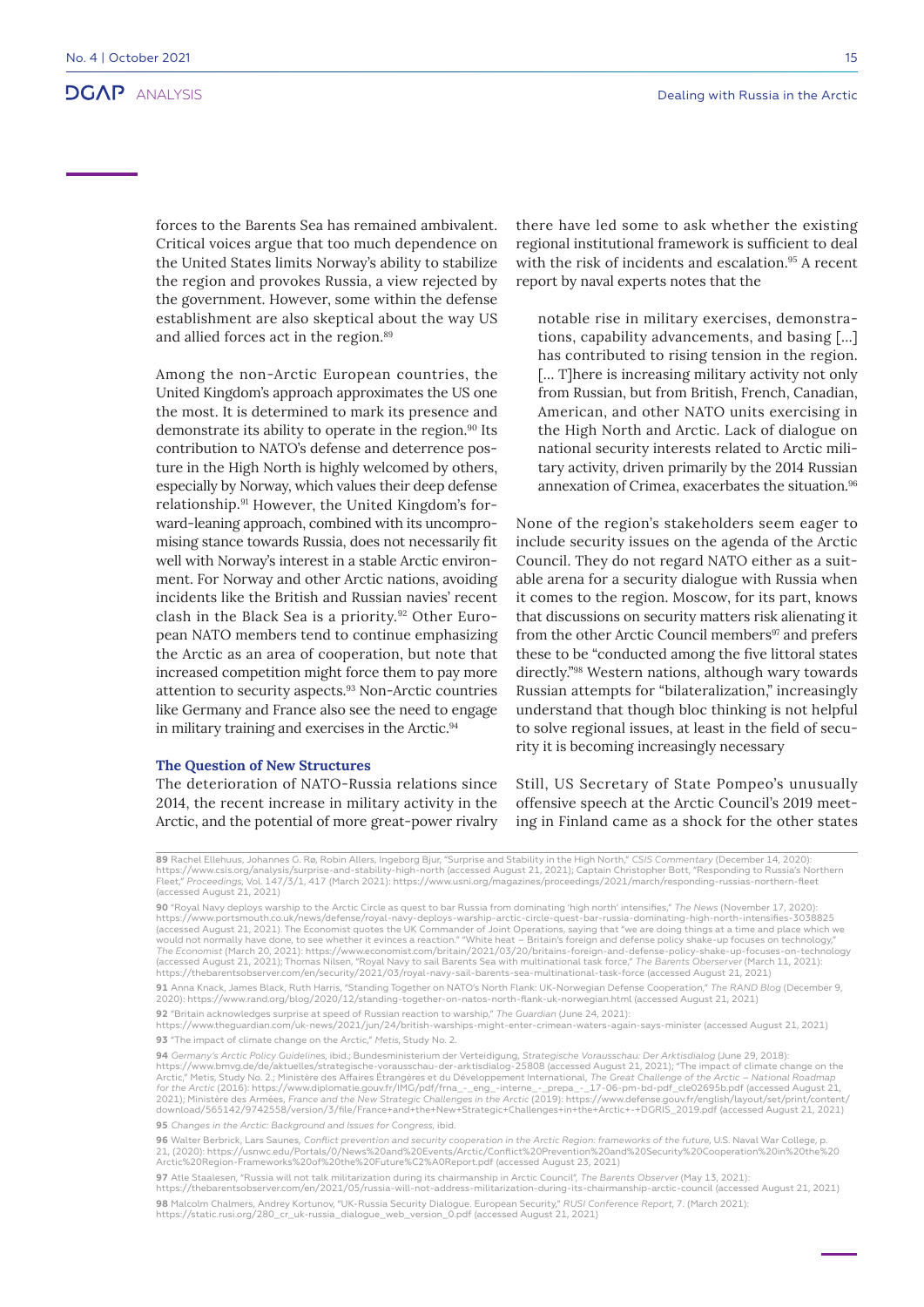forces to the Barents Sea has remained ambivalent. Critical voices argue that too much dependence on the United States limits Norway's ability to stabilize the region and provokes Russia, a view rejected by the government. However, some within the defense establishment are also skeptical about the way US and allied forces act in the region.<sup>89</sup>

Among the non-Arctic European countries, the United Kingdom's approach approximates the US one the most. It is determined to mark its presence and demonstrate its ability to operate in the region.<sup>90</sup> Its contribution to NATO's defense and deterrence posture in the High North is highly welcomed by others, especially by Norway, which values their deep defense relationship.91 However, the United Kingdom's forward-leaning approach, combined with its uncompromising stance towards Russia, does not necessarily fit well with Norway's interest in a stable Arctic environment. For Norway and other Arctic nations, avoiding incidents like the British and Russian navies' recent clash in the Black Sea is a priority.92 Other European NATO members tend to continue emphasizing the Arctic as an area of cooperation, but note that increased competition might force them to pay more attention to security aspects.93 Non-Arctic countries like Germany and France also see the need to engage in military training and exercises in the Arctic.<sup>94</sup>

#### **The Question of New Structures**

The deterioration of NATO-Russia relations since 2014, the recent increase in military activity in the Arctic, and the potential of more great-power rivalry

there have led some to ask whether the existing regional institutional framework is sufficient to deal with the risk of incidents and escalation.<sup>95</sup> A recent report by naval experts notes that the

notable rise in military exercises, demonstrations, capability advancements, and basing […] has contributed to rising tension in the region. [... There is increasing military activity not only from Russian, but from British, French, Canadian, American, and other NATO units exercising in the High North and Arctic. Lack of dialogue on national security interests related to Arctic military activity, driven primarily by the 2014 Russian annexation of Crimea, exacerbates the situation.<sup>96</sup>

None of the region's stakeholders seem eager to include security issues on the agenda of the Arctic Council. They do not regard NATO either as a suitable arena for a security dialogue with Russia when it comes to the region. Moscow, for its part, knows that discussions on security matters risk alienating it from the other Arctic Council members<sup>97</sup> and prefers these to be "conducted among the five littoral states directly."98 Western nations, although wary towards Russian attempts for "bilateralization," increasingly understand that though bloc thinking is not helpful to solve regional issues, at least in the field of security it is becoming increasingly necessary

Still, US Secretary of State Pompeo's unusually offensive speech at the Arctic Council's 2019 meeting in Finland came as a shock for the other states

**94** Germany's Arctic Policy Guidelines, ibid.; Bundesministerium der Verteidigung, Strategische Vorausschau: Der Arktisdialog (June 29, 2018):<br>https://www.bmvg.de/de/aktuelles/strategische-vorausschau-der-arktisdialog-258 for the Arctic (2016): [https://www.diplomatie.gouv.fr/IMG/pdf/frna\\_-\\_eng\\_-interne\\_-\\_prepa\\_-\\_17-06-pm-bd-pdf\\_cle02695b.pdf](https://www.diplomatie.gouv.fr/IMG/pdf/frna_-_eng_-interne_-_prepa_-_17-06-pm-bd-pdf_cle02695b.pdf) (accessed August 21,<br>2021); Ministère des Armées, France and the New Strategic Challenges in the Arc [download/565142/9742558/version/3/file/France+and+the+New+Strategic+Challenges+in+the+Arctic+-+DGRIS\\_2019.pdf](https://www.defense.gouv.fr/english/layout/set/print/content/download/565142/9742558/version/3/file/France+and+the+New+Strategic+Challenges+in+the+Arctic+-+DGRIS_2019.pdf) (accessed August 21, 2021)

**95** *Changes in the Arctic: Background and Issues for Congress*, ibid.

**96** Walter Berbrick, Lars Saunes, Conflict prevention and security cooperation in the Arctic Region: frameworks of the future, U.S. Naval War College, p.<br>21, (2020): https://usnwc.edu/Portals/0/News%20and%20Events/Arctic/ [Arctic%20Region-Frameworks%20of%20the%20Future%C2%A0Report.pdf](https://usnwc.edu/Portals/0/News%20and%20Events/Arctic/Conflict%20Prevention%20and%20Security%20Cooperation%20in%20the%20Arctic%20Region-Frameworks%20of%20the%20Future%C2%A0Report.pdf) (accessed August 23, 2021)

**97** Atle Staalesen, "Russia will not talk militarization during its chairmanship in Arctic Council", *The Barents Observer* (May 13, 2021):

**<sup>89</sup>** Rachel Ellehuus, Johannes G. Rø, Robin Allers, Ingeborg Bjur, "Surprise and Stability in the High North," *CSIS Commentary* (December 14, 2020): <https://www.csis.org/analysis/surprise-and-stability-high-north>(accessed August 21, 2021); Captain Christopher Bott, "Responding to Russia's Northern<br>Fleet," Proceedings, Vol. 147/3/1, 417 (March 2021): https://www.usni.o (accessed August 21, 2021)

**<sup>90</sup>** "Royal Navy deploys warship to the Arctic Circle as quest to bar Russia from dominating 'high north' intensifies," *The News* (November 17, 2020): https://www.portsmouth.co.uk/news/defense/royal-navy-deploys-warship-arctic-circle-quest-bar-russia-dominating-high-north-intensifies-3038825<br>(accessed August 21, 2021). The Economist quotes the UK Commander of Joint Opera would not normally have done, to see whether it evinces a reaction." "White heat – Britain's foreign and defense policy shake-up focuses on technology,"<br>The Economist (March 20, 2021): https://www.economist.com/britain/202 (accessed August 21, 2021); Thomas Nilsen, "Royal Navy to sail Barents Sea with multinational task force," *The Barents Oberserver* (March 11, 2021): <https://thebarentsobserver.com/en/security/2021/03/royal-navy-sail-barents-sea-multinational-task-force> (accessed August 21, 2021)

**<sup>91</sup>** Anna Knack, James Black, Ruth Harris, "Standing Together on NATO's North Flank: UK-Norwegian Defense Cooperation," *The RAND Blog (*December 9,<br>2020): https://www.rand.org/blog/2020/12/standing-together-on-natos-north **92** "Britain acknowledges surprise at speed of Russian reaction to warship," *The Guardian* (June 24, 2021):

<https://www.theguardian.com/uk-news/2021/jun/24/british-warships-might-enter-crimean-waters-again-says-minister> (accessed August 21, 2021) **93** "The impact of climate change on the Arctic," *Metis*, Study No. 2.

<https://thebarentsobserver.com/en/2021/05/russia-will-not-address-militarization-during-its-chairmanship-arctic-council> (accessed August 21, 2021) **98** Malcolm Chalmers, Andrey Kortunov, "UK-Russia Security Dialogue. European Security," *RUSI Conference Report*, 7. (March 2021): [https://static.rusi.org/280\\_cr\\_uk-russia\\_dialogue\\_web\\_version\\_0.pdf](https://static.rusi.org/280_cr_uk-russia_dialogue_web_version_0.pdf) (accessed August 21, 2021)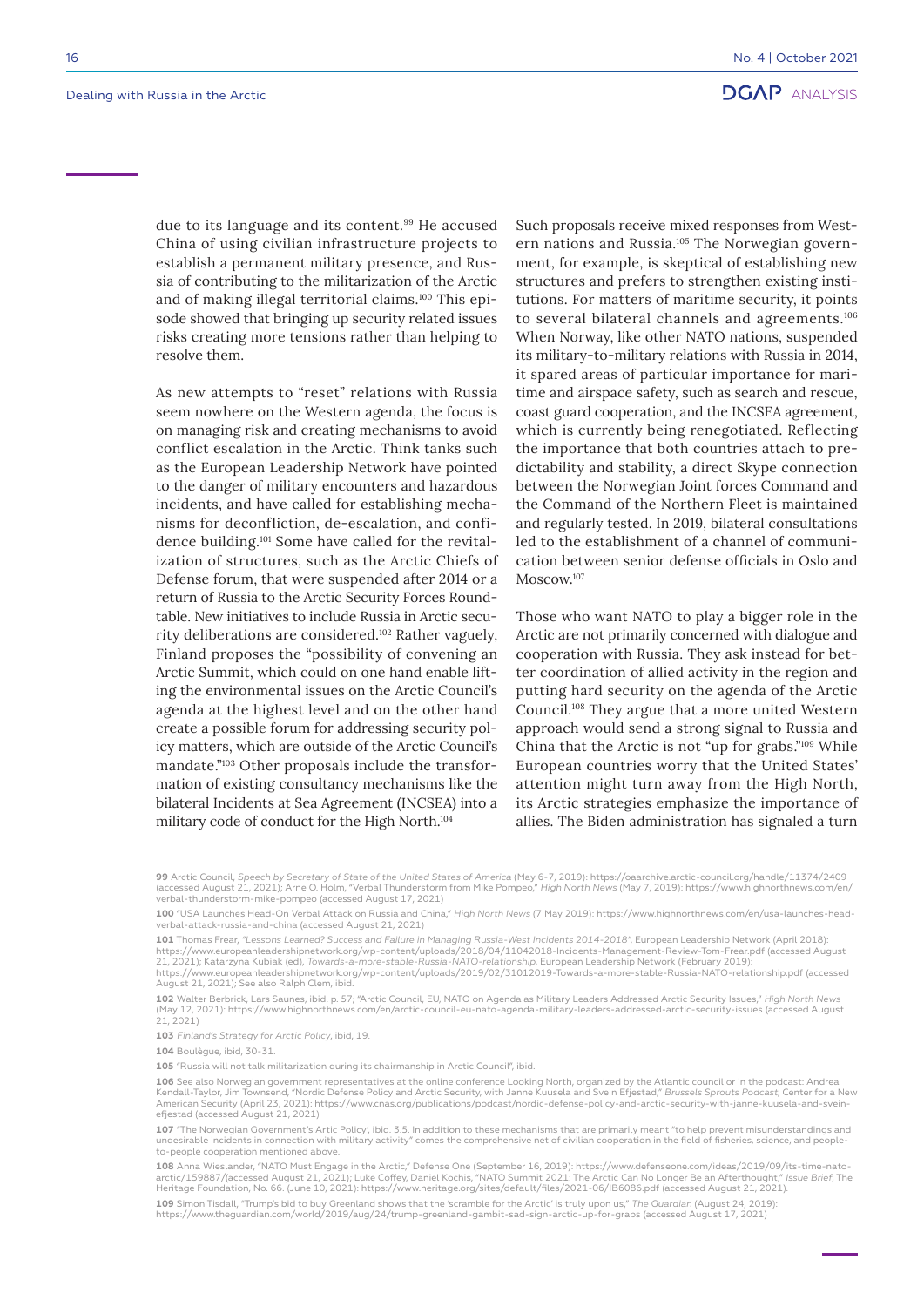due to its language and its content.<sup>99</sup> He accused China of using civilian infrastructure projects to establish a permanent military presence, and Russia of contributing to the militarization of the Arctic and of making illegal territorial claims.100 This episode showed that bringing up security related issues risks creating more tensions rather than helping to resolve them.

As new attempts to "reset" relations with Russia seem nowhere on the Western agenda, the focus is on managing risk and creating mechanisms to avoid conflict escalation in the Arctic. Think tanks such as the European Leadership Network have pointed to the danger of military encounters and hazardous incidents, and have called for establishing mechanisms for deconfliction, de-escalation, and confidence building.101 Some have called for the revitalization of structures, such as the Arctic Chiefs of Defense forum, that were suspended after 2014 or a return of Russia to the Arctic Security Forces Roundtable. New initiatives to include Russia in Arctic security deliberations are considered.102 Rather vaguely, Finland proposes the "possibility of convening an Arctic Summit, which could on one hand enable lifting the environmental issues on the Arctic Council's agenda at the highest level and on the other hand create a possible forum for addressing security policy matters, which are outside of the Arctic Council's mandate."103 Other proposals include the transformation of existing consultancy mechanisms like the bilateral Incidents at Sea Agreement (INCSEA) into a military code of conduct for the High North.104

Such proposals receive mixed responses from Western nations and Russia.105 The Norwegian government, for example, is skeptical of establishing new structures and prefers to strengthen existing institutions. For matters of maritime security, it points to several bilateral channels and agreements.106 When Norway, like other NATO nations, suspended its military-to-military relations with Russia in 2014, it spared areas of particular importance for maritime and airspace safety, such as search and rescue, coast guard cooperation, and the INCSEA agreement, which is currently being renegotiated. Reflecting the importance that both countries attach to predictability and stability, a direct Skype connection between the Norwegian Joint forces Command and the Command of the Northern Fleet is maintained and regularly tested. In 2019, bilateral consultations led to the establishment of a channel of communication between senior defense officials in Oslo and Moscow.<sup>107</sup>

Those who want NATO to play a bigger role in the Arctic are not primarily concerned with dialogue and cooperation with Russia. They ask instead for better coordination of allied activity in the region and putting hard security on the agenda of the Arctic Council.108 They argue that a more united Western approach would send a strong signal to Russia and China that the Arctic is not "up for grabs."109 While European countries worry that the United States' attention might turn away from the High North, its Arctic strategies emphasize the importance of allies. The Biden administration has signaled a turn

**103** *Finland's Strategy for Arctic Policy*, ibid, 19.

**104** Boulègue, ibid, 30-31.

**105** "Russia will not talk militarization during its chairmanship in Arctic Council", ibid.

**<sup>99</sup>** Arctic Council, *Speech by Secretary of State of the United States of America* (May 6-7, 2019):<https://oaarchive.arctic-council.org/handle/11374/2409> (accessed August 21, 2021); Arne O. Holm, "Verbal Thunderstorm from Mike Pompeo," *High North News* (May 7, 2019): [https://www.highnorthnews.com/en/](https://www.highnorthnews.com/en/verbal-thunderstorm-mike-pompeo) [verbal-thunderstorm-mike-pompeo](https://www.highnorthnews.com/en/verbal-thunderstorm-mike-pompeo) (accessed August 17, 2021)

**<sup>100</sup>** "USA Launches Head-On Verbal Attack on Russia and China," *High North News* (7 May 2019): [https://www.highnorthnews.com/en/usa-launches-head](https://www.highnorthnews.com/en/usa-launches-head-verbal-attack-russia-and-china)[verbal-attack-russia-and-china](https://www.highnorthnews.com/en/usa-launches-head-verbal-attack-russia-and-china) (accessed August 21, 2021)

**<sup>101</sup>** Thomas Frear, "Lessons Learned? Success and Failure in Managing Russia-West Incidents 2014-2018", European Leadership Network (April 2018):<br>https://www.europeanleadershipnetwork.org/wp-content/uploads/2018/04/1104201

<sup>21, 2021);</sup> Katarzyna Kubiak (ed), *Towards-a-more-stable-Russia-NATO-relationship*, European Leadership Network (February 2019): <https://www.europeanleadershipnetwork.org/wp-content/uploads/2019/02/31012019-Towards-a-more-stable-Russia-NATO-relationship.pdf>(accessed August 21, 2021); See also Ralph Clem, ibid.

**<sup>102</sup>** Walter Berbrick, Lars Saunes, ibid. p. 57; "Arctic Council, EU, NATO on Agenda as Military Leaders Addressed Arctic Security Issues," *High North News*  (May 12, 2021):<https://www.highnorthnews.com/en/arctic-council-eu-nato-agenda-military-leaders-addressed-arctic-security-issues>(accessed August 21, 2021)

**<sup>106</sup>** See also Norwegian government representatives at the online conference Looking North, organized by the Atlantic council or in the podcast: Andrea Kendall-Taylor, Jim Townsend, "Nordic Defense Policy and Arctic Security, with Janne Kuusela and Svein Efjestad," *Brussels Sprouts Podcast,* Center for a New<br>American Security (April 23, 2021): https://www.cnas.org/public [efjestad](https://www.cnas.org/publications/podcast/nordic-defense-policy-and-arctic-security-with-janne-kuusela-and-svein-efjestad) (accessed August 21, 2021)

**<sup>107</sup>** "The Norwegian Government's Artic Policy', ibid. 3.5. In addition to these mechanisms that are primarily meant "to help prevent misunderstandings and undesirable incidents in connection with military activity" comes the comprehensive net of civilian cooperation in the field of fisheries, science, and peopleto-people cooperation mentioned above.

**<sup>108</sup>** Anna Wieslander, "NATO Must Engage in the Arctic," Defense One (September 16, 2019): https://www.defenseone.com/ideas/2019/09/its-time-nato-<br>[arctic/159887/](https://www.defenseone.com/ideas/2019/09/its-time-nato-arctic/159887/)(accessed August 21, 2021); Luke Coffey, Daniel Kochis, "NATO Heritage Foundation, No. 66. (June 10, 2021): <https://www.heritage.org/sites/default/files/2021-06/IB6086.pdf> (accessed August 21, 2021).

**<sup>109</sup>** Simon Tisdall, "Trump's bid to buy Greenland shows that the 'scramble for the Arctic' is truly upon us," *The Guardian* (August 24, 2019): <https://www.theguardian.com/world/2019/aug/24/trump-greenland-gambit-sad-sign-arctic-up-for-grabs>(accessed August 17, 2021)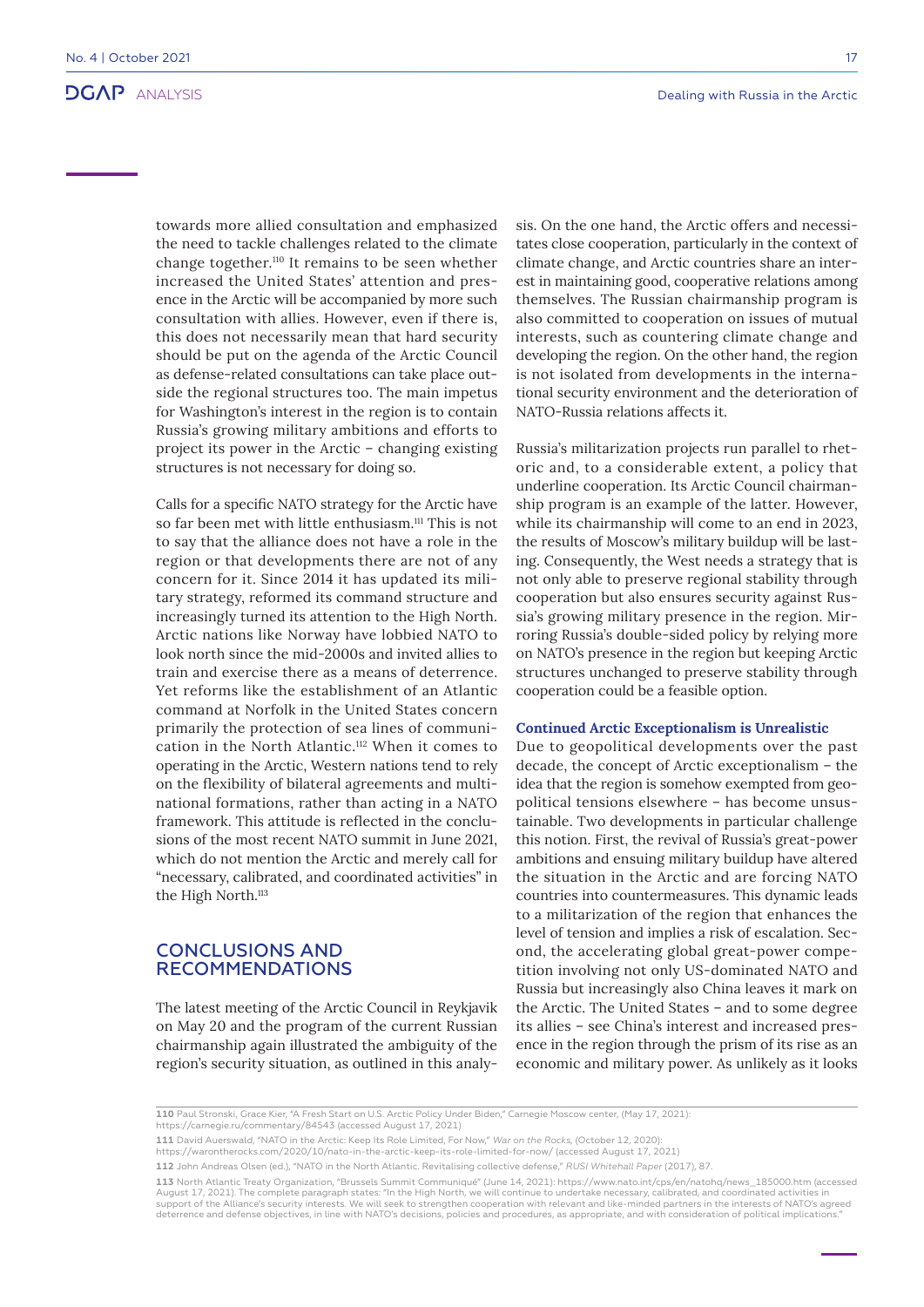towards more allied consultation and emphasized the need to tackle challenges related to the climate change together.<sup>110</sup> It remains to be seen whether increased the United States' attention and presence in the Arctic will be accompanied by more such consultation with allies. However, even if there is, this does not necessarily mean that hard security should be put on the agenda of the Arctic Council as defense-related consultations can take place outside the regional structures too. The main impetus for Washington's interest in the region is to contain Russia's growing military ambitions and efforts to project its power in the Arctic – changing existing structures is not necessary for doing so.

Calls for a specific NATO strategy for the Arctic have so far been met with little enthusiasm.<sup>111</sup> This is not to say that the alliance does not have a role in the region or that developments there are not of any concern for it. Since 2014 it has updated its military strategy, reformed its command structure and increasingly turned its attention to the High North. Arctic nations like Norway have lobbied NATO to look north since the mid-2000s and invited allies to train and exercise there as a means of deterrence. Yet reforms like the establishment of an Atlantic command at Norfolk in the United States concern primarily the protection of sea lines of communication in the North Atlantic.112 When it comes to operating in the Arctic, Western nations tend to rely on the flexibility of bilateral agreements and multinational formations, rather than acting in a NATO framework. This attitude is reflected in the conclusions of the most recent NATO summit in June 2021, which do not mention the Arctic and merely call for "necessary, calibrated, and coordinated activities" in the High North.113

#### CONCLUSIONS AND RECOMMENDATIONS

The latest meeting of the Arctic Council in Reykjavik on May 20 and the program of the current Russian chairmanship again illustrated the ambiguity of the region's security situation, as outlined in this analy-

sis. On the one hand, the Arctic offers and necessitates close cooperation, particularly in the context of climate change, and Arctic countries share an interest in maintaining good, cooperative relations among themselves. The Russian chairmanship program is also committed to cooperation on issues of mutual interests, such as countering climate change and developing the region. On the other hand, the region is not isolated from developments in the international security environment and the deterioration of NATO-Russia relations affects it.

Russia's militarization projects run parallel to rhetoric and, to a considerable extent, a policy that underline cooperation. Its Arctic Council chairmanship program is an example of the latter. However, while its chairmanship will come to an end in 2023, the results of Moscow's military buildup will be lasting. Consequently, the West needs a strategy that is not only able to preserve regional stability through cooperation but also ensures security against Russia's growing military presence in the region. Mirroring Russia's double-sided policy by relying more on NATO's presence in the region but keeping Arctic structures unchanged to preserve stability through cooperation could be a feasible option.

#### **Continued Arctic Exceptionalism is Unrealistic**

Due to geopolitical developments over the past decade, the concept of Arctic exceptionalism – the idea that the region is somehow exempted from geopolitical tensions elsewhere – has become unsustainable. Two developments in particular challenge this notion. First, the revival of Russia's great-power ambitions and ensuing military buildup have altered the situation in the Arctic and are forcing NATO countries into countermeasures. This dynamic leads to a militarization of the region that enhances the level of tension and implies a risk of escalation. Second, the accelerating global great-power competition involving not only US-dominated NATO and Russia but increasingly also China leaves it mark on the Arctic. The United States – and to some degree its allies – see China's interest and increased presence in the region through the prism of its rise as an economic and military power. As unlikely as it looks

**<sup>110</sup>** Paul Stronski, Grace Kier, "A Fresh Start on U.S. Arctic Policy Under Biden," Carnegie Moscow center, (May 17, 2021): <https://carnegie.ru/commentary/84543>(accessed August 17, 2021)

<sup>111</sup> David Auerswald, "NATO in the Arctic: Keep Its Role Limited, For Now," War on the Rocks, (October 12, 2020):<br><https://warontherocks.com/2020/10/nato-in-the-arctic-keep-its-role-limited-for-now/>(accessed August 17, 2021

**<sup>112</sup>** John Andreas Olsen (ed.), "NATO in the North Atlantic. Revitalising collective defense," *RUSI Whitehall Paper* (2017), 87.

**<sup>113</sup>** North Atlantic Treaty Organization, "Brussels Summit Communiqué" (June 14, 2021): [https://www.nato.int/cps/en/natohq/news\\_185000.htm](https://www.nato.int/cps/en/natohq/news_185000.htm) (accessed

August 17, 2021). The complete paragraph states: "In the High North, we will continue to undertake necessary, calibrated, and coordinated activities in support of the Alliance's security interests. We will seek to strengthen cooperation with relevant and like-minded partners in the interests of NATO's agreed deterrence and defense objectives, in line with NATO's decisions, policies and procedures, as appropriate, and with consideration of political implications."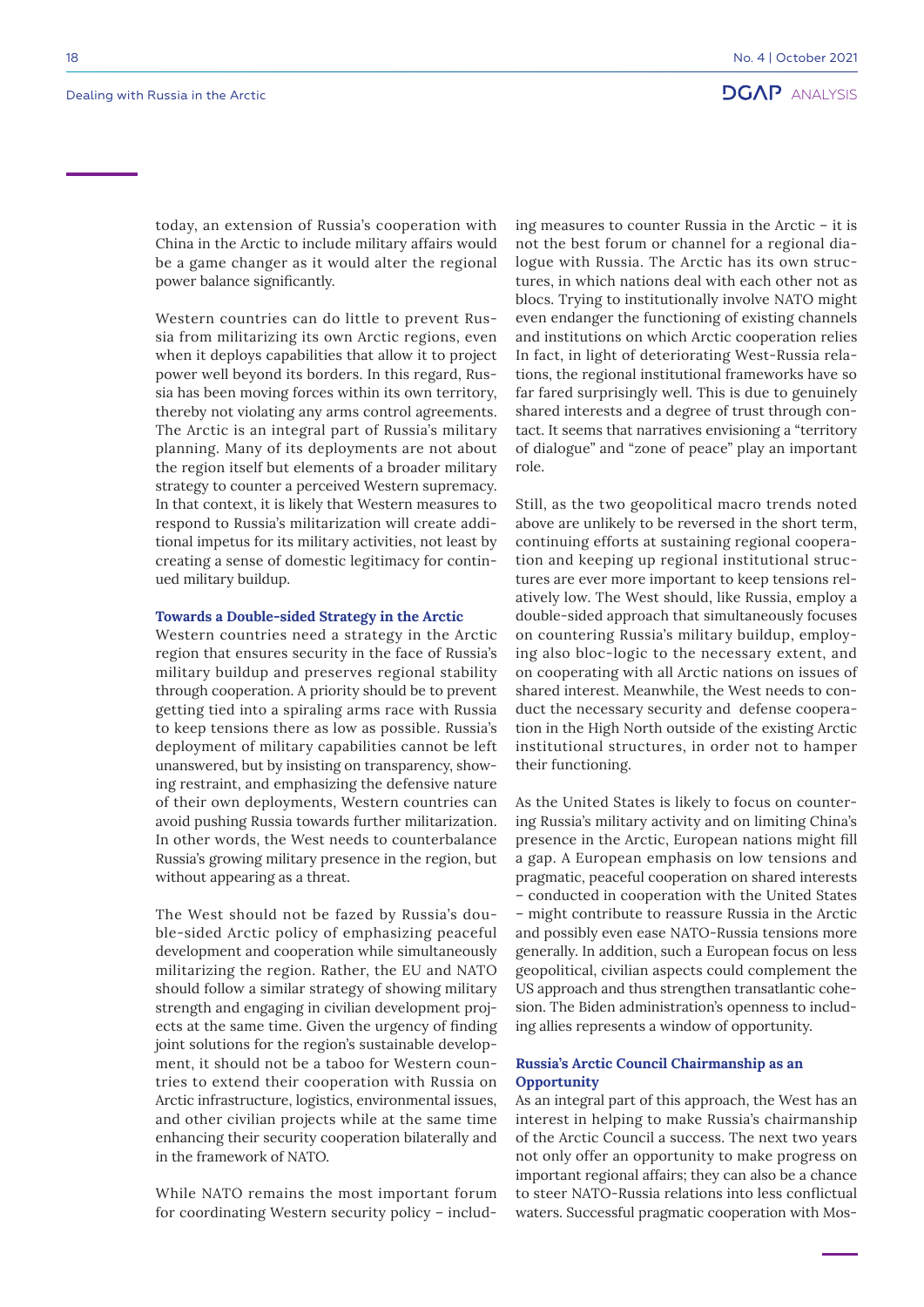today, an extension of Russia's cooperation with China in the Arctic to include military affairs would be a game changer as it would alter the regional power balance significantly.

Western countries can do little to prevent Russia from militarizing its own Arctic regions, even when it deploys capabilities that allow it to project power well beyond its borders. In this regard, Russia has been moving forces within its own territory, thereby not violating any arms control agreements. The Arctic is an integral part of Russia's military planning. Many of its deployments are not about the region itself but elements of a broader military strategy to counter a perceived Western supremacy. In that context, it is likely that Western measures to respond to Russia's militarization will create additional impetus for its military activities, not least by creating a sense of domestic legitimacy for continued military buildup.

#### **Towards a Double-sided Strategy in the Arctic**

Western countries need a strategy in the Arctic region that ensures security in the face of Russia's military buildup and preserves regional stability through cooperation. A priority should be to prevent getting tied into a spiraling arms race with Russia to keep tensions there as low as possible. Russia's deployment of military capabilities cannot be left unanswered, but by insisting on transparency, showing restraint, and emphasizing the defensive nature of their own deployments, Western countries can avoid pushing Russia towards further militarization. In other words, the West needs to counterbalance Russia's growing military presence in the region, but without appearing as a threat.

The West should not be fazed by Russia's double-sided Arctic policy of emphasizing peaceful development and cooperation while simultaneously militarizing the region. Rather, the EU and NATO should follow a similar strategy of showing military strength and engaging in civilian development projects at the same time. Given the urgency of finding joint solutions for the region's sustainable development, it should not be a taboo for Western countries to extend their cooperation with Russia on Arctic infrastructure, logistics, environmental issues, and other civilian projects while at the same time enhancing their security cooperation bilaterally and in the framework of NATO.

While NATO remains the most important forum for coordinating Western security policy – including measures to counter Russia in the Arctic – it is not the best forum or channel for a regional dialogue with Russia. The Arctic has its own structures, in which nations deal with each other not as blocs. Trying to institutionally involve NATO might even endanger the functioning of existing channels and institutions on which Arctic cooperation relies In fact, in light of deteriorating West-Russia relations, the regional institutional frameworks have so far fared surprisingly well. This is due to genuinely shared interests and a degree of trust through contact. It seems that narratives envisioning a "territory of dialogue" and "zone of peace" play an important role.

Still, as the two geopolitical macro trends noted above are unlikely to be reversed in the short term, continuing efforts at sustaining regional cooperation and keeping up regional institutional structures are ever more important to keep tensions relatively low. The West should, like Russia, employ a double-sided approach that simultaneously focuses on countering Russia's military buildup, employing also bloc-logic to the necessary extent, and on cooperating with all Arctic nations on issues of shared interest. Meanwhile, the West needs to conduct the necessary security and defense cooperation in the High North outside of the existing Arctic institutional structures, in order not to hamper their functioning.

As the United States is likely to focus on countering Russia's military activity and on limiting China's presence in the Arctic, European nations might fill a gap. A European emphasis on low tensions and pragmatic, peaceful cooperation on shared interests – conducted in cooperation with the United States – might contribute to reassure Russia in the Arctic and possibly even ease NATO-Russia tensions more generally. In addition, such a European focus on less geopolitical, civilian aspects could complement the US approach and thus strengthen transatlantic cohesion. The Biden administration's openness to including allies represents a window of opportunity.

#### **Russia's Arctic Council Chairmanship as an Opportunity**

As an integral part of this approach, the West has an interest in helping to make Russia's chairmanship of the Arctic Council a success. The next two years not only offer an opportunity to make progress on important regional affairs; they can also be a chance to steer NATO-Russia relations into less conflictual waters. Successful pragmatic cooperation with Mos-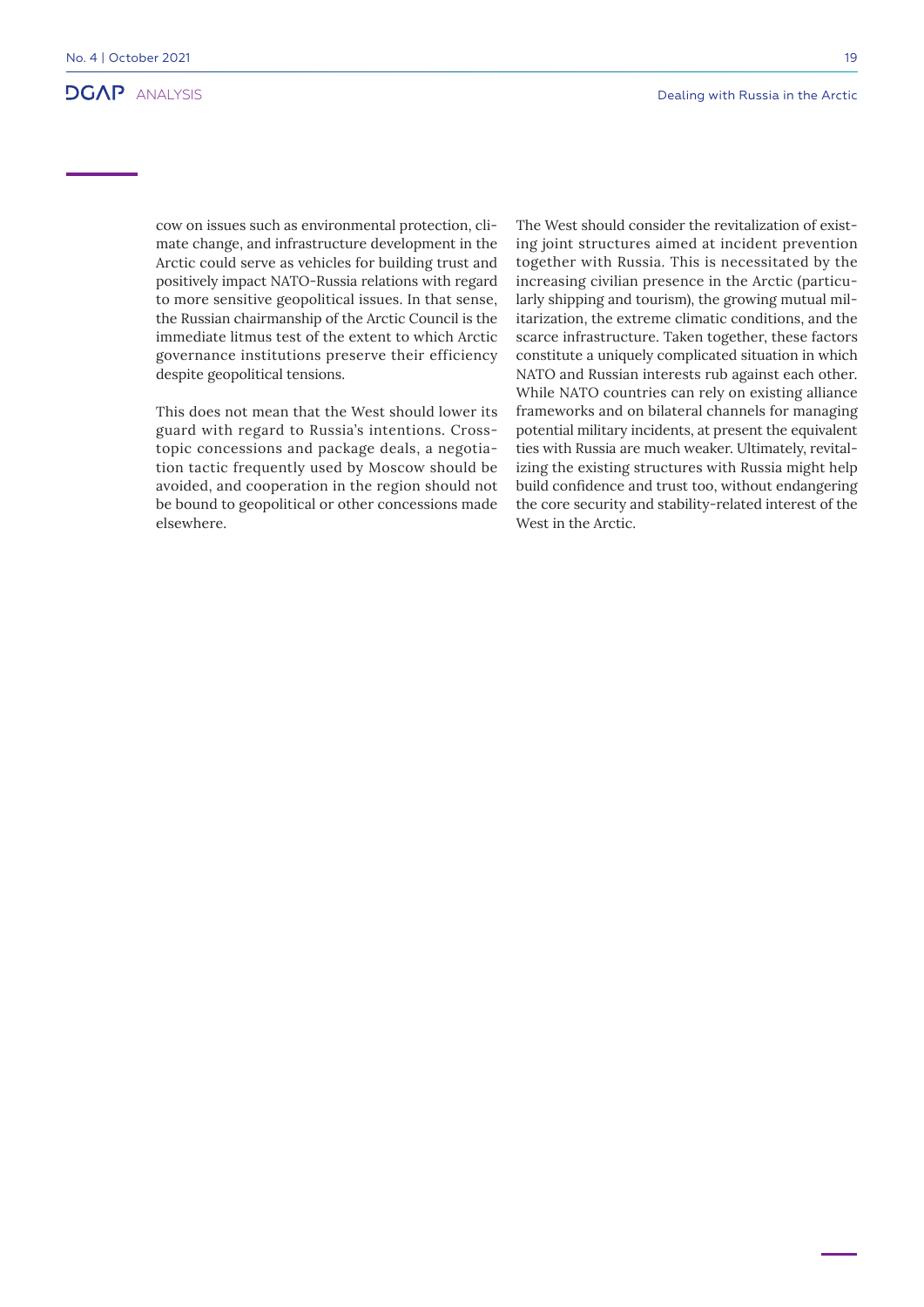cow on issues such as environmental protection, climate change, and infrastructure development in the Arctic could serve as vehicles for building trust and positively impact NATO-Russia relations with regard to more sensitive geopolitical issues. In that sense, the Russian chairmanship of the Arctic Council is the immediate litmus test of the extent to which Arctic governance institutions preserve their efficiency despite geopolitical tensions.

This does not mean that the West should lower its guard with regard to Russia's intentions. Crosstopic concessions and package deals, a negotiation tactic frequently used by Moscow should be avoided, and cooperation in the region should not be bound to geopolitical or other concessions made elsewhere.

The West should consider the revitalization of existing joint structures aimed at incident prevention together with Russia. This is necessitated by the increasing civilian presence in the Arctic (particularly shipping and tourism), the growing mutual militarization, the extreme climatic conditions, and the scarce infrastructure. Taken together, these factors constitute a uniquely complicated situation in which NATO and Russian interests rub against each other. While NATO countries can rely on existing alliance frameworks and on bilateral channels for managing potential military incidents, at present the equivalent ties with Russia are much weaker. Ultimately, revitalizing the existing structures with Russia might help build confidence and trust too, without endangering the core security and stability-related interest of the West in the Arctic.